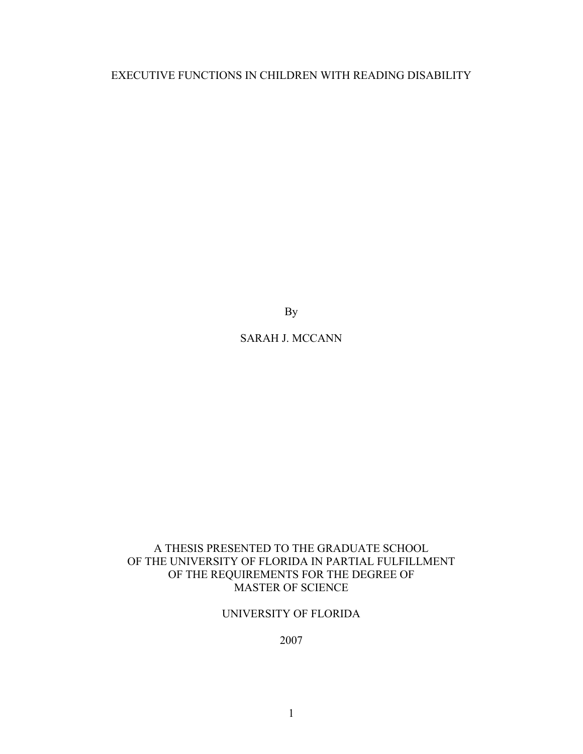EXECUTIVE FUNCTIONS IN CHILDREN WITH READING DISABILITY

By

# SARAH J. MCCANN

# A THESIS PRESENTED TO THE GRADUATE SCHOOL OF THE UNIVERSITY OF FLORIDA IN PARTIAL FULFILLMENT OF THE REQUIREMENTS FOR THE DEGREE OF MASTER OF SCIENCE

# UNIVERSITY OF FLORIDA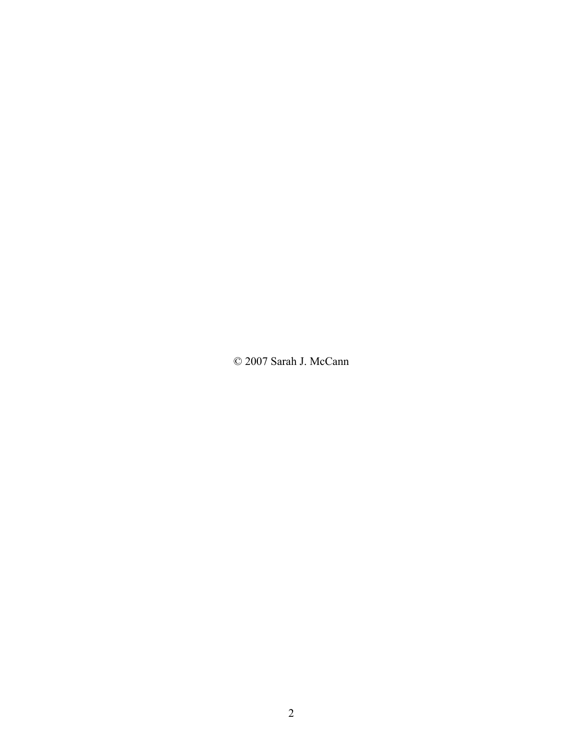© 2007 Sarah J. McCann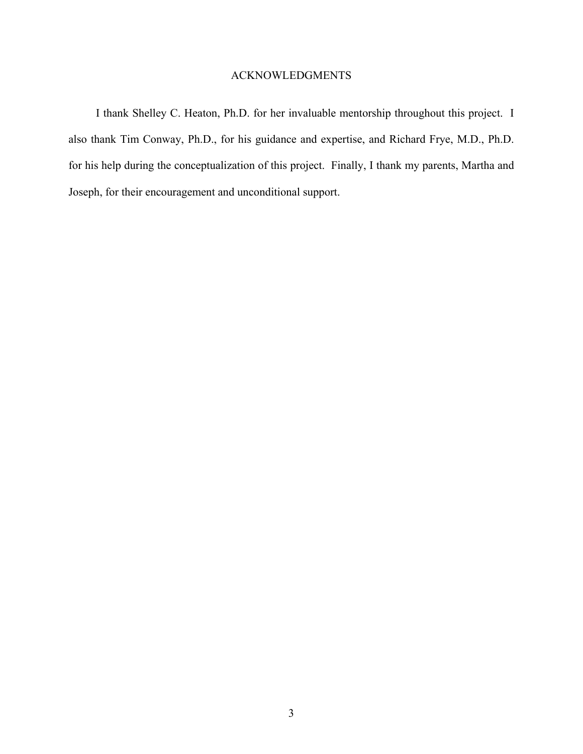# ACKNOWLEDGMENTS

<span id="page-2-0"></span>I thank Shelley C. Heaton, Ph.D. for her invaluable mentorship throughout this project. I also thank Tim Conway, Ph.D., for his guidance and expertise, and Richard Frye, M.D., Ph.D. for his help during the conceptualization of this project. Finally, I thank my parents, Martha and Joseph, for their encouragement and unconditional support.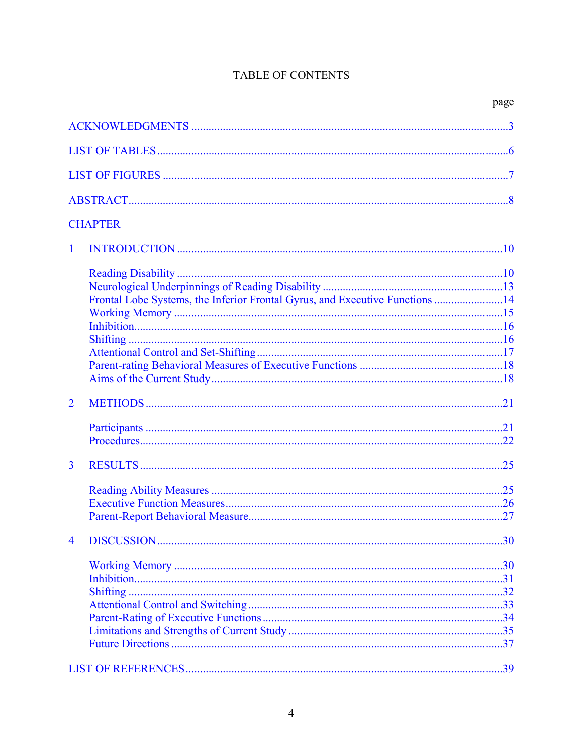# TABLE OF CONTENTS

|                |                                                                              | page |
|----------------|------------------------------------------------------------------------------|------|
|                |                                                                              |      |
|                |                                                                              |      |
|                |                                                                              |      |
|                |                                                                              |      |
|                | <b>CHAPTER</b>                                                               |      |
| $\mathbf{1}$   |                                                                              |      |
|                |                                                                              |      |
|                |                                                                              |      |
|                | Frontal Lobe Systems, the Inferior Frontal Gyrus, and Executive Functions 14 |      |
|                |                                                                              |      |
|                |                                                                              |      |
|                |                                                                              |      |
|                |                                                                              |      |
|                |                                                                              |      |
|                |                                                                              |      |
| $\overline{2}$ |                                                                              |      |
|                |                                                                              |      |
|                |                                                                              |      |
|                |                                                                              |      |
| $\overline{3}$ |                                                                              |      |
|                |                                                                              |      |
|                |                                                                              |      |
|                |                                                                              |      |
| $\overline{4}$ |                                                                              |      |
|                |                                                                              |      |
|                |                                                                              |      |
|                |                                                                              |      |
|                |                                                                              |      |
|                |                                                                              |      |
|                |                                                                              |      |
|                |                                                                              |      |
|                |                                                                              |      |
|                |                                                                              | 39   |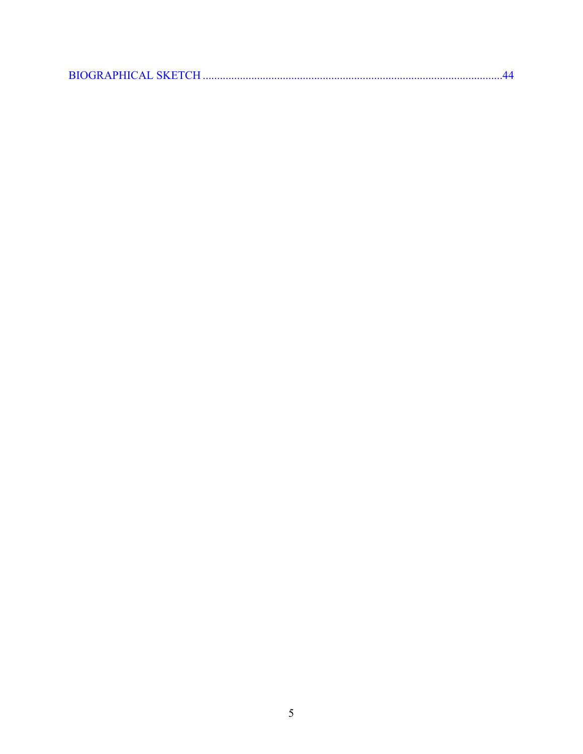|--|--|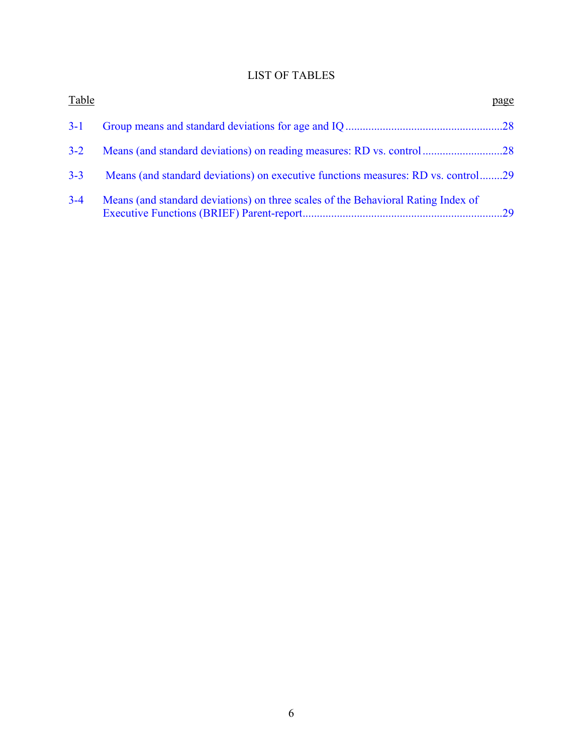# LIST OF TABLES

<span id="page-5-0"></span>

| Table   |                                                                                   | page |
|---------|-----------------------------------------------------------------------------------|------|
| $3-1$   |                                                                                   |      |
| $3 - 2$ |                                                                                   |      |
| $3 - 3$ | Means (and standard deviations) on executive functions measures: RD vs. control29 |      |
| $3 - 4$ | Means (and standard deviations) on three scales of the Behavioral Rating Index of |      |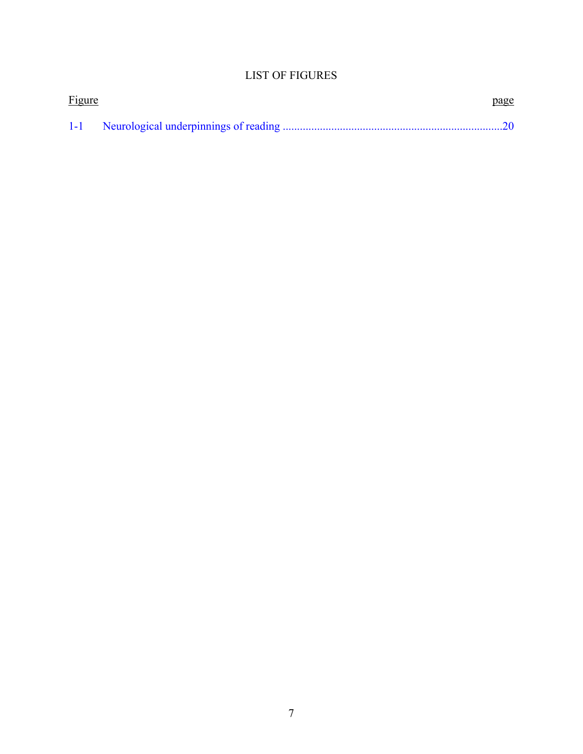# LIST OF FIGURES

<span id="page-6-0"></span>

| <b>Figure</b> | page |
|---------------|------|
|               |      |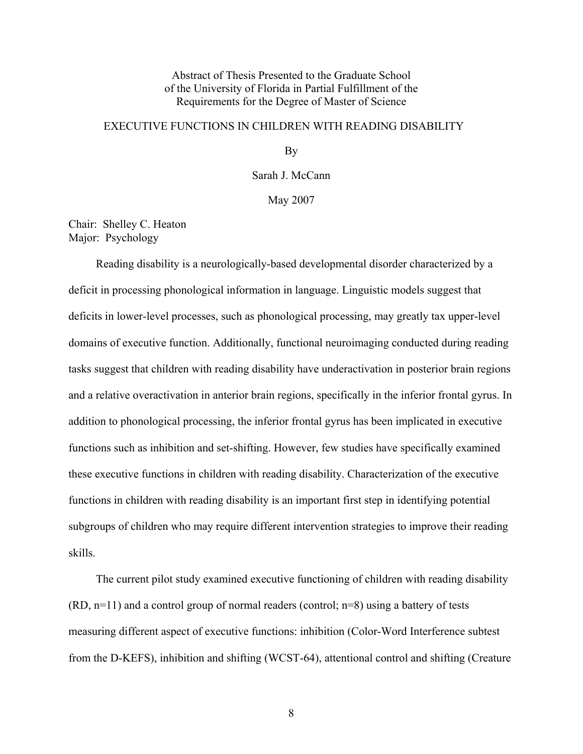# Abstract of Thesis Presented to the Graduate School of the University of Florida in Partial Fulfillment of the Requirements for the Degree of Master of Science

# <span id="page-7-0"></span>EXECUTIVE FUNCTIONS IN CHILDREN WITH READING DISABILITY

By

Sarah J. McCann

May 2007

Chair: Shelley C. Heaton Major: Psychology

Reading disability is a neurologically-based developmental disorder characterized by a deficit in processing phonological information in language. Linguistic models suggest that deficits in lower-level processes, such as phonological processing, may greatly tax upper-level domains of executive function. Additionally, functional neuroimaging conducted during reading tasks suggest that children with reading disability have underactivation in posterior brain regions and a relative overactivation in anterior brain regions, specifically in the inferior frontal gyrus. In addition to phonological processing, the inferior frontal gyrus has been implicated in executive functions such as inhibition and set-shifting. However, few studies have specifically examined these executive functions in children with reading disability. Characterization of the executive functions in children with reading disability is an important first step in identifying potential subgroups of children who may require different intervention strategies to improve their reading skills.

The current pilot study examined executive functioning of children with reading disability  $(RD, n=11)$  and a control group of normal readers (control;  $n=8$ ) using a battery of tests measuring different aspect of executive functions: inhibition (Color-Word Interference subtest from the D-KEFS), inhibition and shifting (WCST-64), attentional control and shifting (Creature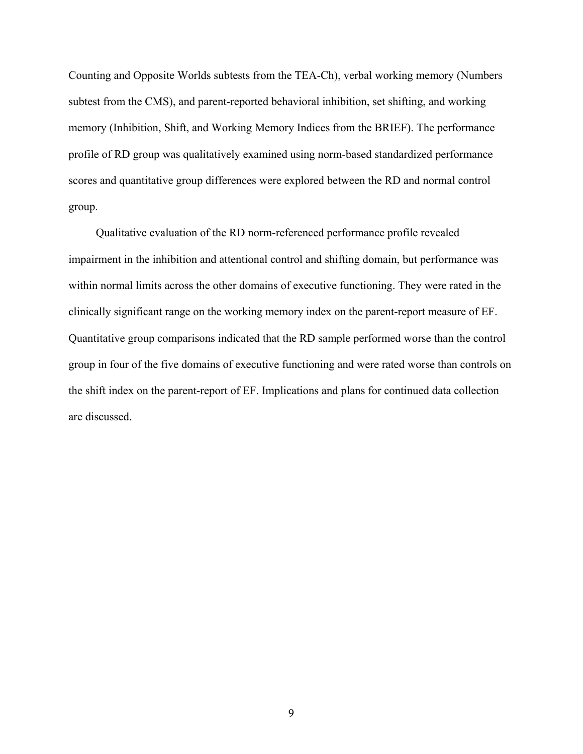Counting and Opposite Worlds subtests from the TEA-Ch), verbal working memory (Numbers subtest from the CMS), and parent-reported behavioral inhibition, set shifting, and working memory (Inhibition, Shift, and Working Memory Indices from the BRIEF). The performance profile of RD group was qualitatively examined using norm-based standardized performance scores and quantitative group differences were explored between the RD and normal control group.

Qualitative evaluation of the RD norm-referenced performance profile revealed impairment in the inhibition and attentional control and shifting domain, but performance was within normal limits across the other domains of executive functioning. They were rated in the clinically significant range on the working memory index on the parent-report measure of EF. Quantitative group comparisons indicated that the RD sample performed worse than the control group in four of the five domains of executive functioning and were rated worse than controls on the shift index on the parent-report of EF. Implications and plans for continued data collection are discussed.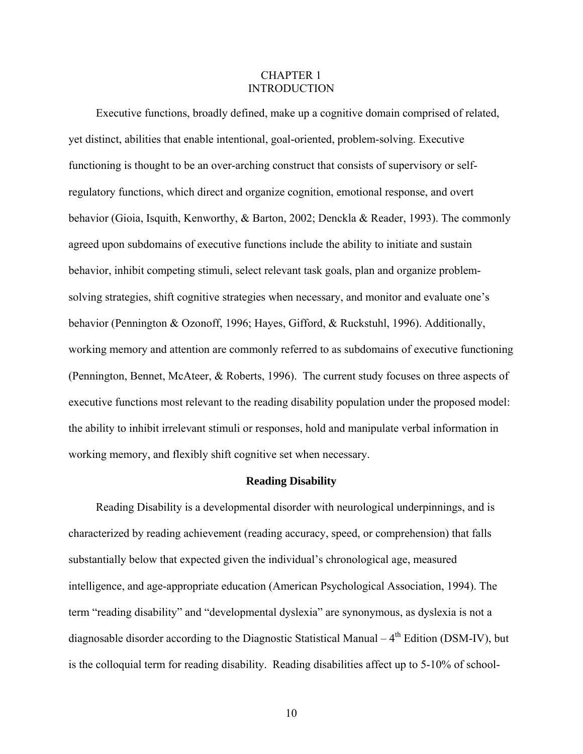## CHAPTER 1 INTRODUCTION

<span id="page-9-0"></span>Executive functions, broadly defined, make up a cognitive domain comprised of related, yet distinct, abilities that enable intentional, goal-oriented, problem-solving. Executive functioning is thought to be an over-arching construct that consists of supervisory or selfregulatory functions, which direct and organize cognition, emotional response, and overt behavior (Gioia, Isquith, Kenworthy, & Barton, 2002; Denckla & Reader, 1993). The commonly agreed upon subdomains of executive functions include the ability to initiate and sustain behavior, inhibit competing stimuli, select relevant task goals, plan and organize problemsolving strategies, shift cognitive strategies when necessary, and monitor and evaluate one's behavior (Pennington & Ozonoff, 1996; Hayes, Gifford, & Ruckstuhl, 1996). Additionally, working memory and attention are commonly referred to as subdomains of executive functioning (Pennington, Bennet, McAteer, & Roberts, 1996). The current study focuses on three aspects of executive functions most relevant to the reading disability population under the proposed model: the ability to inhibit irrelevant stimuli or responses, hold and manipulate verbal information in working memory, and flexibly shift cognitive set when necessary.

#### **Reading Disability**

Reading Disability is a developmental disorder with neurological underpinnings, and is characterized by reading achievement (reading accuracy, speed, or comprehension) that falls substantially below that expected given the individual's chronological age, measured intelligence, and age-appropriate education (American Psychological Association, 1994). The term "reading disability" and "developmental dyslexia" are synonymous, as dyslexia is not a diagnosable disorder according to the Diagnostic Statistical Manual  $-4^{th}$  Edition (DSM-IV), but is the colloquial term for reading disability. Reading disabilities affect up to 5-10% of school-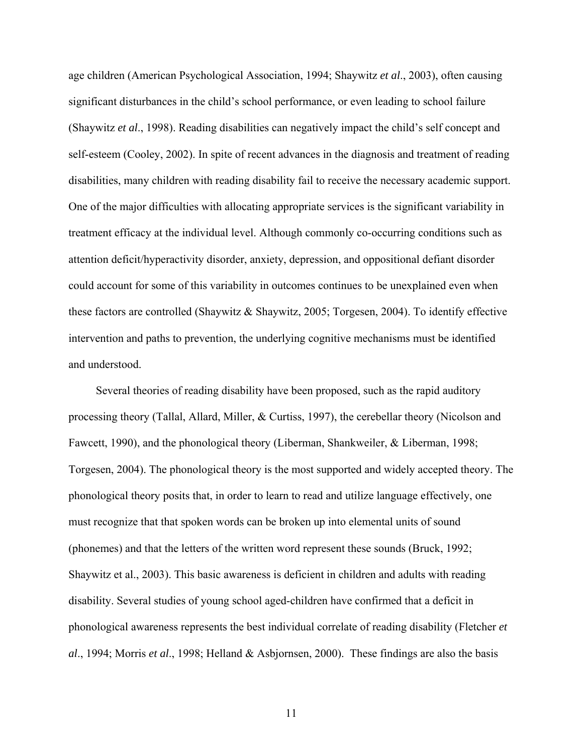age children (American Psychological Association, 1994; Shaywitz *et al*., 2003), often causing significant disturbances in the child's school performance, or even leading to school failure (Shaywitz *et al*., 1998). Reading disabilities can negatively impact the child's self concept and self-esteem (Cooley, 2002). In spite of recent advances in the diagnosis and treatment of reading disabilities, many children with reading disability fail to receive the necessary academic support. One of the major difficulties with allocating appropriate services is the significant variability in treatment efficacy at the individual level. Although commonly co-occurring conditions such as attention deficit/hyperactivity disorder, anxiety, depression, and oppositional defiant disorder could account for some of this variability in outcomes continues to be unexplained even when these factors are controlled (Shaywitz & Shaywitz, 2005; Torgesen, 2004). To identify effective intervention and paths to prevention, the underlying cognitive mechanisms must be identified and understood.

Several theories of reading disability have been proposed, such as the rapid auditory processing theory (Tallal, Allard, Miller, & Curtiss, 1997), the cerebellar theory (Nicolson and Fawcett, 1990), and the phonological theory (Liberman, Shankweiler, & Liberman, 1998; Torgesen, 2004). The phonological theory is the most supported and widely accepted theory. The phonological theory posits that, in order to learn to read and utilize language effectively, one must recognize that that spoken words can be broken up into elemental units of sound (phonemes) and that the letters of the written word represent these sounds (Bruck, 1992; Shaywitz et al., 2003). This basic awareness is deficient in children and adults with reading disability. Several studies of young school aged-children have confirmed that a deficit in phonological awareness represents the best individual correlate of reading disability (Fletcher *et al*., 1994; Morris *et al*., 1998; Helland & Asbjornsen, 2000). These findings are also the basis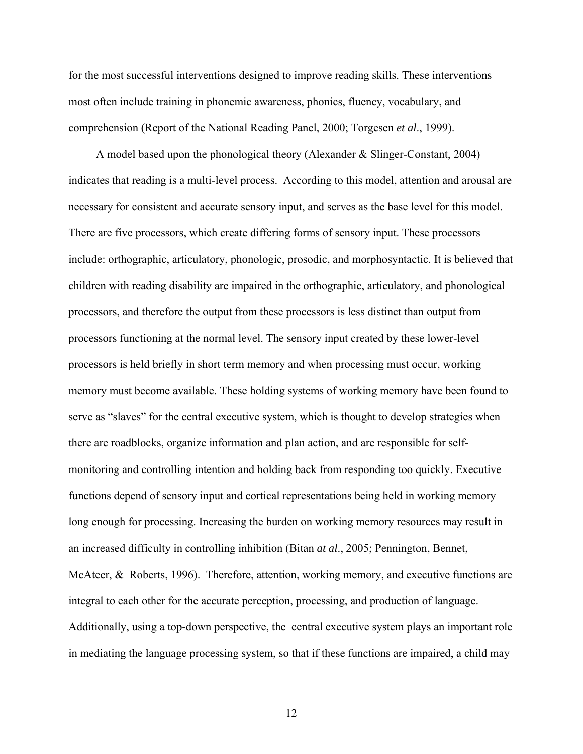for the most successful interventions designed to improve reading skills. These interventions most often include training in phonemic awareness, phonics, fluency, vocabulary, and comprehension (Report of the National Reading Panel, 2000; Torgesen *et al*., 1999).

A model based upon the phonological theory (Alexander & Slinger-Constant, 2004) indicates that reading is a multi-level process. According to this model, attention and arousal are necessary for consistent and accurate sensory input, and serves as the base level for this model. There are five processors, which create differing forms of sensory input. These processors include: orthographic, articulatory, phonologic, prosodic, and morphosyntactic. It is believed that children with reading disability are impaired in the orthographic, articulatory, and phonological processors, and therefore the output from these processors is less distinct than output from processors functioning at the normal level. The sensory input created by these lower-level processors is held briefly in short term memory and when processing must occur, working memory must become available. These holding systems of working memory have been found to serve as "slaves" for the central executive system, which is thought to develop strategies when there are roadblocks, organize information and plan action, and are responsible for selfmonitoring and controlling intention and holding back from responding too quickly. Executive functions depend of sensory input and cortical representations being held in working memory long enough for processing. Increasing the burden on working memory resources may result in an increased difficulty in controlling inhibition (Bitan *at al*., 2005; Pennington, Bennet, McAteer, & Roberts, 1996). Therefore, attention, working memory, and executive functions are integral to each other for the accurate perception, processing, and production of language. Additionally, using a top-down perspective, the central executive system plays an important role in mediating the language processing system, so that if these functions are impaired, a child may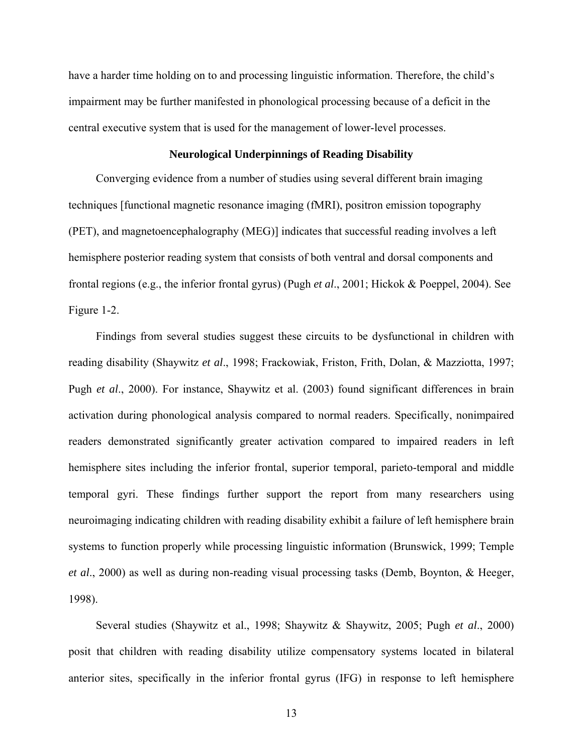<span id="page-12-0"></span>have a harder time holding on to and processing linguistic information. Therefore, the child's impairment may be further manifested in phonological processing because of a deficit in the central executive system that is used for the management of lower-level processes.

#### **Neurological Underpinnings of Reading Disability**

Converging evidence from a number of studies using several different brain imaging techniques [functional magnetic resonance imaging (fMRI), positron emission topography (PET), and magnetoencephalography (MEG)] indicates that successful reading involves a left hemisphere posterior reading system that consists of both ventral and dorsal components and frontal regions (e.g., the inferior frontal gyrus) (Pugh *et al*., 2001; Hickok & Poeppel, 2004). See Figure 1-2.

Findings from several studies suggest these circuits to be dysfunctional in children with reading disability (Shaywitz *et al*., 1998; Frackowiak, Friston, Frith, Dolan, & Mazziotta, 1997; Pugh *et al*., 2000). For instance, Shaywitz et al. (2003) found significant differences in brain activation during phonological analysis compared to normal readers. Specifically, nonimpaired readers demonstrated significantly greater activation compared to impaired readers in left hemisphere sites including the inferior frontal, superior temporal, parieto-temporal and middle temporal gyri. These findings further support the report from many researchers using neuroimaging indicating children with reading disability exhibit a failure of left hemisphere brain systems to function properly while processing linguistic information (Brunswick, 1999; Temple *et al*., 2000) as well as during non-reading visual processing tasks (Demb, Boynton, & Heeger, 1998).

Several studies (Shaywitz et al., 1998; Shaywitz & Shaywitz, 2005; Pugh *et al*., 2000) posit that children with reading disability utilize compensatory systems located in bilateral anterior sites, specifically in the inferior frontal gyrus (IFG) in response to left hemisphere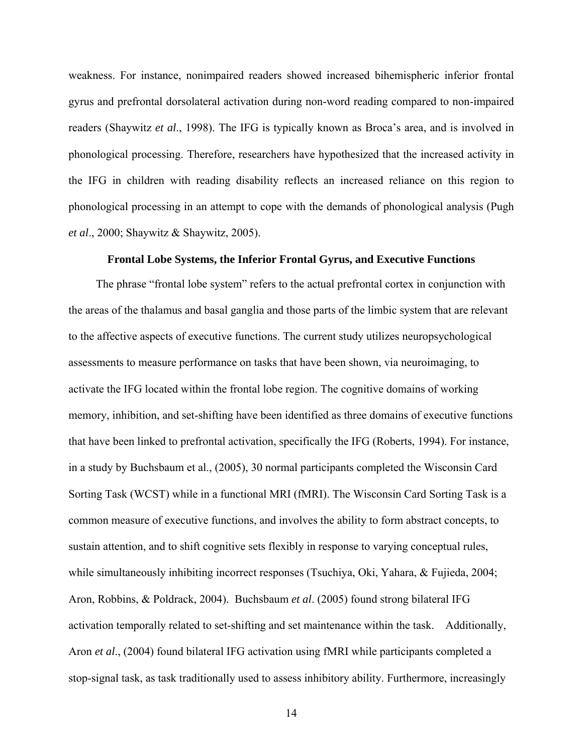<span id="page-13-0"></span>weakness. For instance, nonimpaired readers showed increased bihemispheric inferior frontal gyrus and prefrontal dorsolateral activation during non-word reading compared to non-impaired readers (Shaywitz *et al*., 1998). The IFG is typically known as Broca's area, and is involved in phonological processing. Therefore, researchers have hypothesized that the increased activity in the IFG in children with reading disability reflects an increased reliance on this region to phonological processing in an attempt to cope with the demands of phonological analysis (Pugh *et al*., 2000; Shaywitz & Shaywitz, 2005).

#### **Frontal Lobe Systems, the Inferior Frontal Gyrus, and Executive Functions**

The phrase "frontal lobe system" refers to the actual prefrontal cortex in conjunction with the areas of the thalamus and basal ganglia and those parts of the limbic system that are relevant to the affective aspects of executive functions. The current study utilizes neuropsychological assessments to measure performance on tasks that have been shown, via neuroimaging, to activate the IFG located within the frontal lobe region. The cognitive domains of working memory, inhibition, and set-shifting have been identified as three domains of executive functions that have been linked to prefrontal activation, specifically the IFG (Roberts, 1994). For instance, in a study by Buchsbaum et al., (2005), 30 normal participants completed the Wisconsin Card Sorting Task (WCST) while in a functional MRI (fMRI). The Wisconsin Card Sorting Task is a common measure of executive functions, and involves the ability to form abstract concepts, to sustain attention, and to shift cognitive sets flexibly in response to varying conceptual rules, while simultaneously inhibiting incorrect responses (Tsuchiya, Oki, Yahara, & Fujieda, 2004; Aron, Robbins, & Poldrack, 2004). Buchsbaum *et al*. (2005) found strong bilateral IFG activation temporally related to set-shifting and set maintenance within the task. Additionally, Aron *et al*., (2004) found bilateral IFG activation using fMRI while participants completed a stop-signal task, as task traditionally used to assess inhibitory ability. Furthermore, increasingly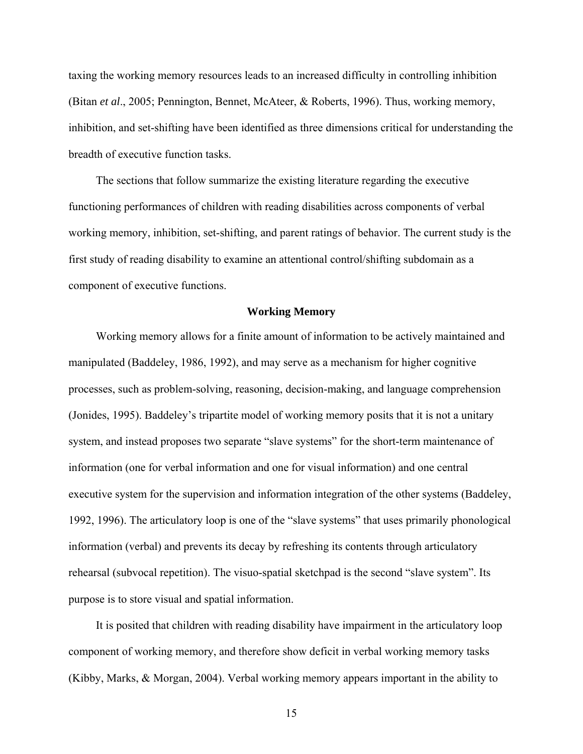<span id="page-14-0"></span>taxing the working memory resources leads to an increased difficulty in controlling inhibition (Bitan *et al*., 2005; Pennington, Bennet, McAteer, & Roberts, 1996). Thus, working memory, inhibition, and set-shifting have been identified as three dimensions critical for understanding the breadth of executive function tasks.

The sections that follow summarize the existing literature regarding the executive functioning performances of children with reading disabilities across components of verbal working memory, inhibition, set-shifting, and parent ratings of behavior. The current study is the first study of reading disability to examine an attentional control/shifting subdomain as a component of executive functions.

#### **Working Memory**

Working memory allows for a finite amount of information to be actively maintained and manipulated (Baddeley, 1986, 1992), and may serve as a mechanism for higher cognitive processes, such as problem-solving, reasoning, decision-making, and language comprehension (Jonides, 1995). Baddeley's tripartite model of working memory posits that it is not a unitary system, and instead proposes two separate "slave systems" for the short-term maintenance of information (one for verbal information and one for visual information) and one central executive system for the supervision and information integration of the other systems (Baddeley, 1992, 1996). The articulatory loop is one of the "slave systems" that uses primarily phonological information (verbal) and prevents its decay by refreshing its contents through articulatory rehearsal (subvocal repetition). The visuo-spatial sketchpad is the second "slave system". Its purpose is to store visual and spatial information.

It is posited that children with reading disability have impairment in the articulatory loop component of working memory, and therefore show deficit in verbal working memory tasks (Kibby, Marks, & Morgan, 2004). Verbal working memory appears important in the ability to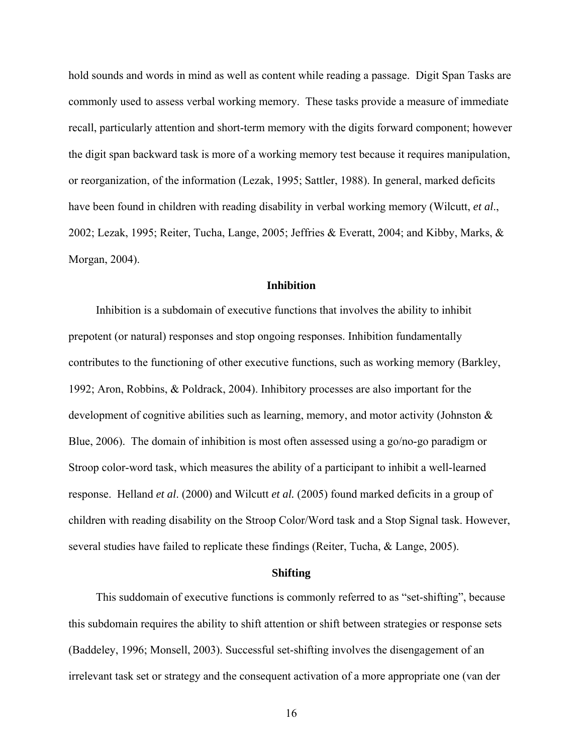<span id="page-15-0"></span>hold sounds and words in mind as well as content while reading a passage. Digit Span Tasks are commonly used to assess verbal working memory. These tasks provide a measure of immediate recall, particularly attention and short-term memory with the digits forward component; however the digit span backward task is more of a working memory test because it requires manipulation, or reorganization, of the information (Lezak, 1995; Sattler, 1988). In general, marked deficits have been found in children with reading disability in verbal working memory (Wilcutt, *et al*., 2002; Lezak, 1995; Reiter, Tucha, Lange, 2005; Jeffries & Everatt, 2004; and Kibby, Marks, & Morgan, 2004).

## **Inhibition**

Inhibition is a subdomain of executive functions that involves the ability to inhibit prepotent (or natural) responses and stop ongoing responses. Inhibition fundamentally contributes to the functioning of other executive functions, such as working memory (Barkley, 1992; Aron, Robbins, & Poldrack, 2004). Inhibitory processes are also important for the development of cognitive abilities such as learning, memory, and motor activity (Johnston  $\&$ Blue, 2006). The domain of inhibition is most often assessed using a go/no-go paradigm or Stroop color-word task, which measures the ability of a participant to inhibit a well-learned response. Helland *et al*. (2000) and Wilcutt *et al.* (2005) found marked deficits in a group of children with reading disability on the Stroop Color/Word task and a Stop Signal task. However, several studies have failed to replicate these findings (Reiter, Tucha, & Lange, 2005).

#### **Shifting**

This suddomain of executive functions is commonly referred to as "set-shifting", because this subdomain requires the ability to shift attention or shift between strategies or response sets (Baddeley, 1996; Monsell, 2003). Successful set-shifting involves the disengagement of an irrelevant task set or strategy and the consequent activation of a more appropriate one (van der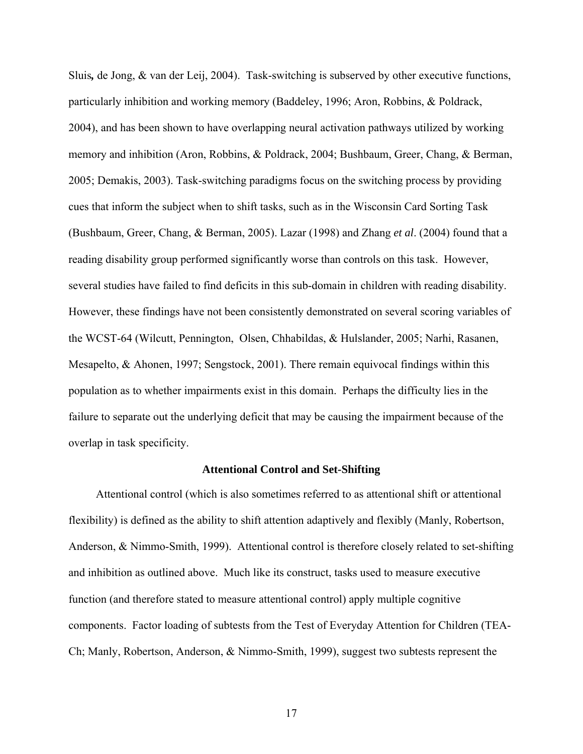<span id="page-16-0"></span>Sluis*,* de Jong, & van der Leij, 2004). Task-switching is subserved by other executive functions, particularly inhibition and working memory (Baddeley, 1996; Aron, Robbins, & Poldrack, 2004), and has been shown to have overlapping neural activation pathways utilized by working memory and inhibition (Aron, Robbins, & Poldrack, 2004; Bushbaum, Greer, Chang, & Berman, 2005; Demakis, 2003). Task-switching paradigms focus on the switching process by providing cues that inform the subject when to shift tasks, such as in the Wisconsin Card Sorting Task (Bushbaum, Greer, Chang, & Berman, 2005). Lazar (1998) and Zhang *et al*. (2004) found that a reading disability group performed significantly worse than controls on this task. However, several studies have failed to find deficits in this sub-domain in children with reading disability. However, these findings have not been consistently demonstrated on several scoring variables of the WCST-64 (Wilcutt, Pennington, Olsen, Chhabildas, & Hulslander, 2005; Narhi, Rasanen, Mesapelto, & Ahonen, 1997; Sengstock, 2001). There remain equivocal findings within this population as to whether impairments exist in this domain. Perhaps the difficulty lies in the failure to separate out the underlying deficit that may be causing the impairment because of the overlap in task specificity.

#### **Attentional Control and Set-Shifting**

Attentional control (which is also sometimes referred to as attentional shift or attentional flexibility) is defined as the ability to shift attention adaptively and flexibly (Manly, Robertson, Anderson, & Nimmo-Smith, 1999). Attentional control is therefore closely related to set-shifting and inhibition as outlined above. Much like its construct, tasks used to measure executive function (and therefore stated to measure attentional control) apply multiple cognitive components. Factor loading of subtests from the Test of Everyday Attention for Children (TEA-Ch; Manly, Robertson, Anderson, & Nimmo-Smith, 1999), suggest two subtests represent the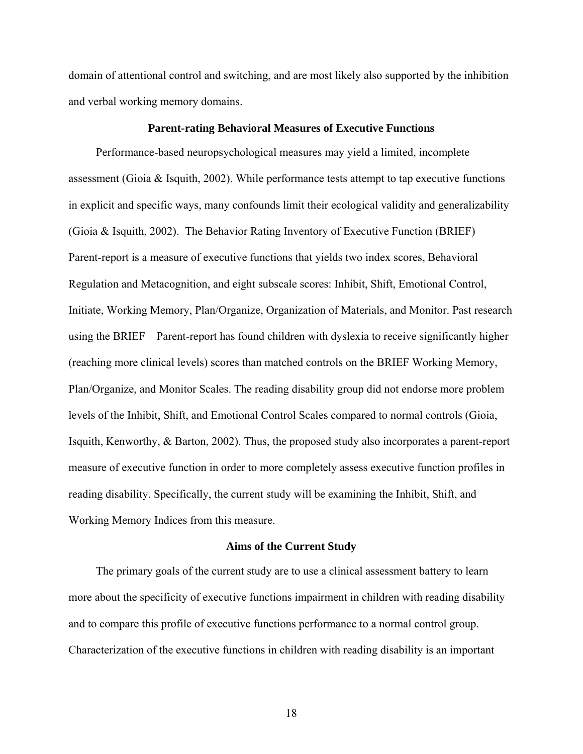<span id="page-17-0"></span>domain of attentional control and switching, and are most likely also supported by the inhibition and verbal working memory domains.

# **Parent-rating Behavioral Measures of Executive Functions**

Performance-based neuropsychological measures may yield a limited, incomplete assessment (Gioia & Isquith, 2002). While performance tests attempt to tap executive functions in explicit and specific ways, many confounds limit their ecological validity and generalizability (Gioia & Isquith, 2002). The Behavior Rating Inventory of Executive Function (BRIEF) – Parent-report is a measure of executive functions that yields two index scores, Behavioral Regulation and Metacognition, and eight subscale scores: Inhibit, Shift, Emotional Control, Initiate, Working Memory, Plan/Organize, Organization of Materials, and Monitor. Past research using the BRIEF – Parent-report has found children with dyslexia to receive significantly higher (reaching more clinical levels) scores than matched controls on the BRIEF Working Memory, Plan/Organize, and Monitor Scales. The reading disability group did not endorse more problem levels of the Inhibit, Shift, and Emotional Control Scales compared to normal controls (Gioia, Isquith, Kenworthy, & Barton, 2002). Thus, the proposed study also incorporates a parent-report measure of executive function in order to more completely assess executive function profiles in reading disability. Specifically, the current study will be examining the Inhibit, Shift, and Working Memory Indices from this measure.

## **Aims of the Current Study**

The primary goals of the current study are to use a clinical assessment battery to learn more about the specificity of executive functions impairment in children with reading disability and to compare this profile of executive functions performance to a normal control group. Characterization of the executive functions in children with reading disability is an important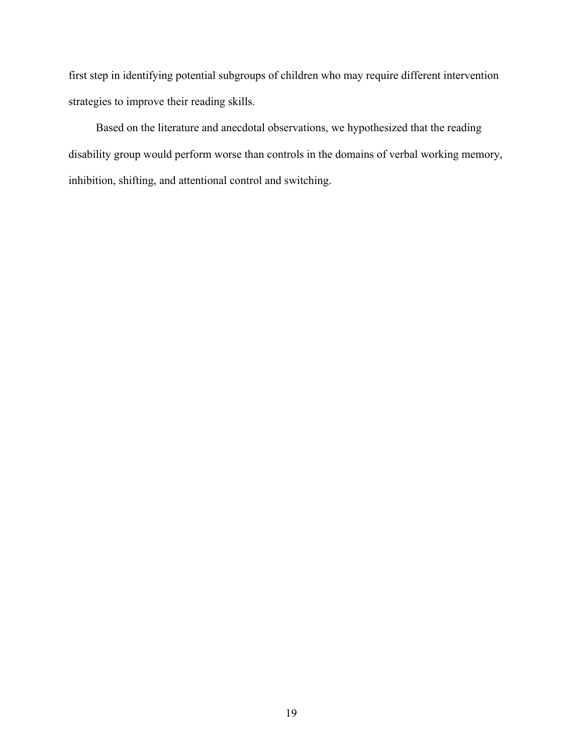first step in identifying potential subgroups of children who may require different intervention strategies to improve their reading skills.

Based on the literature and anecdotal observations, we hypothesized that the reading disability group would perform worse than controls in the domains of verbal working memory, inhibition, shifting, and attentional control and switching.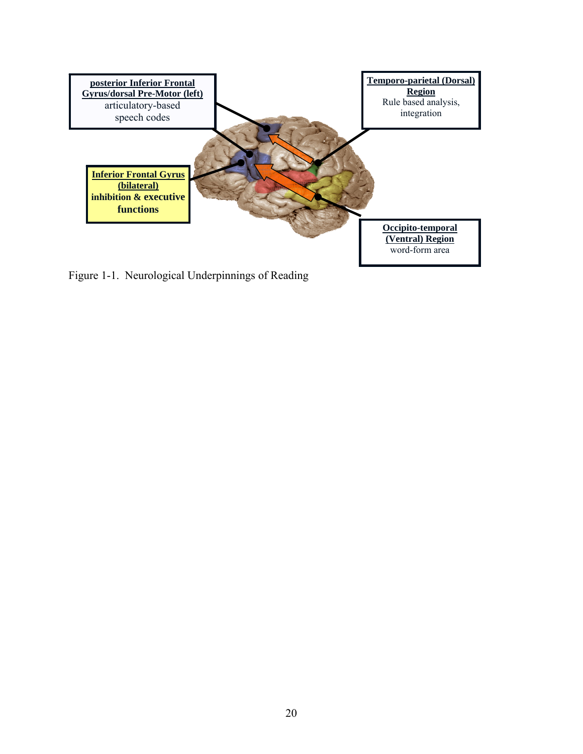<span id="page-19-0"></span>

Figure 1-1. Neurological Underpinnings of Reading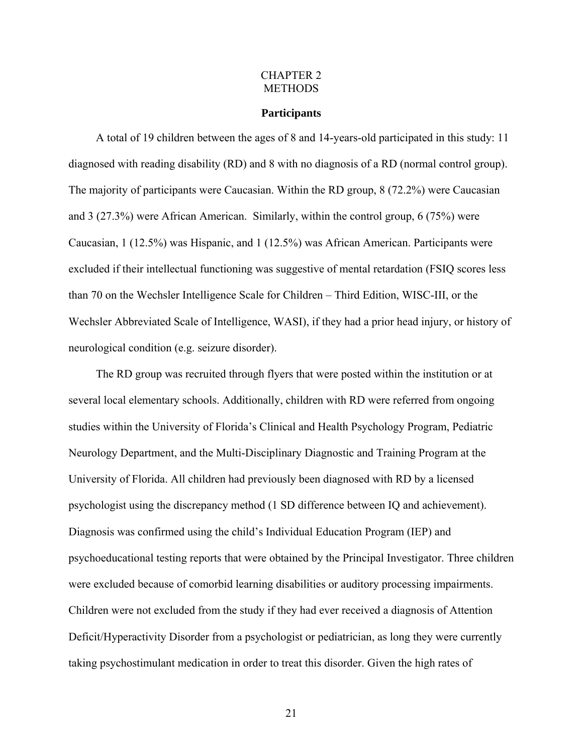#### CHAPTER 2 **METHODS**

#### **Participants**

<span id="page-20-0"></span>A total of 19 children between the ages of 8 and 14-years-old participated in this study: 11 diagnosed with reading disability (RD) and 8 with no diagnosis of a RD (normal control group). The majority of participants were Caucasian. Within the RD group, 8 (72.2%) were Caucasian and 3 (27.3%) were African American. Similarly, within the control group, 6 (75%) were Caucasian, 1 (12.5%) was Hispanic, and 1 (12.5%) was African American. Participants were excluded if their intellectual functioning was suggestive of mental retardation (FSIQ scores less than 70 on the Wechsler Intelligence Scale for Children – Third Edition, WISC-III, or the Wechsler Abbreviated Scale of Intelligence, WASI), if they had a prior head injury, or history of neurological condition (e.g. seizure disorder).

The RD group was recruited through flyers that were posted within the institution or at several local elementary schools. Additionally, children with RD were referred from ongoing studies within the University of Florida's Clinical and Health Psychology Program, Pediatric Neurology Department, and the Multi-Disciplinary Diagnostic and Training Program at the University of Florida. All children had previously been diagnosed with RD by a licensed psychologist using the discrepancy method (1 SD difference between IQ and achievement). Diagnosis was confirmed using the child's Individual Education Program (IEP) and psychoeducational testing reports that were obtained by the Principal Investigator. Three children were excluded because of comorbid learning disabilities or auditory processing impairments. Children were not excluded from the study if they had ever received a diagnosis of Attention Deficit/Hyperactivity Disorder from a psychologist or pediatrician, as long they were currently taking psychostimulant medication in order to treat this disorder. Given the high rates of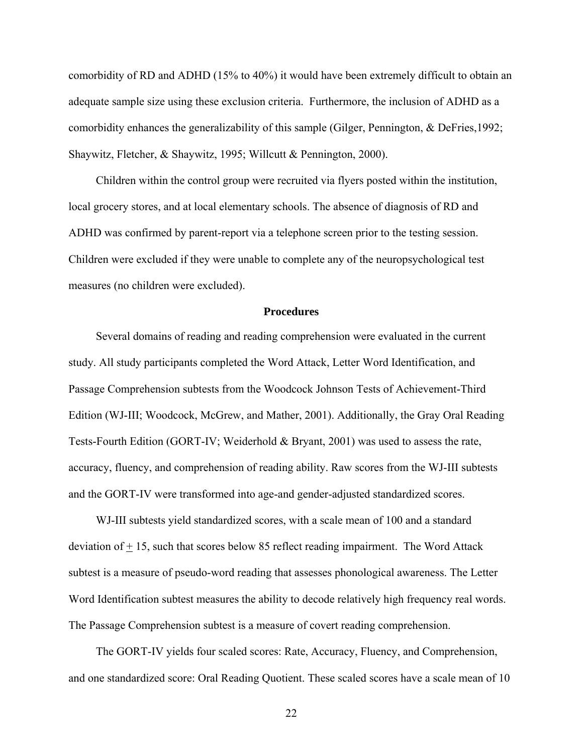<span id="page-21-0"></span>comorbidity of RD and ADHD (15% to 40%) it would have been extremely difficult to obtain an adequate sample size using these exclusion criteria. Furthermore, the inclusion of ADHD as a comorbidity enhances the generalizability of this sample (Gilger, Pennington, & DeFries,1992; Shaywitz, Fletcher, & Shaywitz, 1995; Willcutt & Pennington, 2000).

Children within the control group were recruited via flyers posted within the institution, local grocery stores, and at local elementary schools. The absence of diagnosis of RD and ADHD was confirmed by parent-report via a telephone screen prior to the testing session. Children were excluded if they were unable to complete any of the neuropsychological test measures (no children were excluded).

## **Procedures**

Several domains of reading and reading comprehension were evaluated in the current study. All study participants completed the Word Attack, Letter Word Identification, and Passage Comprehension subtests from the Woodcock Johnson Tests of Achievement-Third Edition (WJ-III; Woodcock, McGrew, and Mather, 2001). Additionally, the Gray Oral Reading Tests-Fourth Edition (GORT-IV; Weiderhold & Bryant, 2001) was used to assess the rate, accuracy, fluency, and comprehension of reading ability. Raw scores from the WJ-III subtests and the GORT-IV were transformed into age-and gender-adjusted standardized scores.

WJ-III subtests yield standardized scores, with a scale mean of 100 and a standard deviation of + 15, such that scores below 85 reflect reading impairment. The Word Attack subtest is a measure of pseudo-word reading that assesses phonological awareness. The Letter Word Identification subtest measures the ability to decode relatively high frequency real words. The Passage Comprehension subtest is a measure of covert reading comprehension.

The GORT-IV yields four scaled scores: Rate, Accuracy, Fluency, and Comprehension, and one standardized score: Oral Reading Quotient. These scaled scores have a scale mean of 10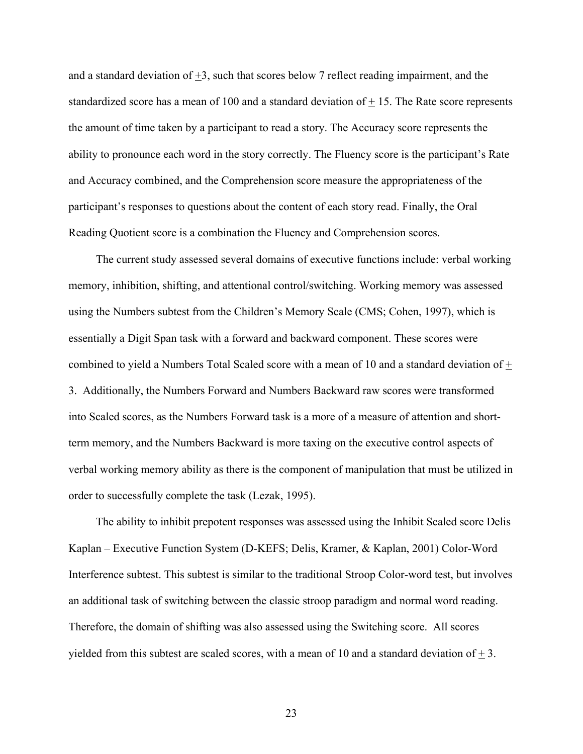and a standard deviation of  $+3$ , such that scores below 7 reflect reading impairment, and the standardized score has a mean of 100 and a standard deviation of + 15. The Rate score represents the amount of time taken by a participant to read a story. The Accuracy score represents the ability to pronounce each word in the story correctly. The Fluency score is the participant's Rate and Accuracy combined, and the Comprehension score measure the appropriateness of the participant's responses to questions about the content of each story read. Finally, the Oral Reading Quotient score is a combination the Fluency and Comprehension scores.

The current study assessed several domains of executive functions include: verbal working memory, inhibition, shifting, and attentional control/switching. Working memory was assessed using the Numbers subtest from the Children's Memory Scale (CMS; Cohen, 1997), which is essentially a Digit Span task with a forward and backward component. These scores were combined to yield a Numbers Total Scaled score with a mean of 10 and a standard deviation of + 3. Additionally, the Numbers Forward and Numbers Backward raw scores were transformed into Scaled scores, as the Numbers Forward task is a more of a measure of attention and shortterm memory, and the Numbers Backward is more taxing on the executive control aspects of verbal working memory ability as there is the component of manipulation that must be utilized in order to successfully complete the task (Lezak, 1995).

The ability to inhibit prepotent responses was assessed using the Inhibit Scaled score Delis Kaplan – Executive Function System (D-KEFS; Delis, Kramer, & Kaplan, 2001) Color-Word Interference subtest. This subtest is similar to the traditional Stroop Color-word test, but involves an additional task of switching between the classic stroop paradigm and normal word reading. Therefore, the domain of shifting was also assessed using the Switching score. All scores yielded from this subtest are scaled scores, with a mean of 10 and a standard deviation of  $\pm$  3.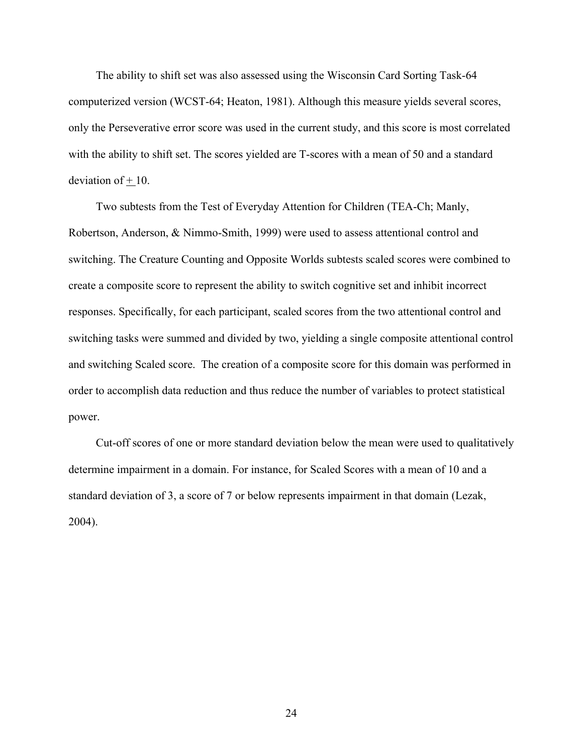The ability to shift set was also assessed using the Wisconsin Card Sorting Task-64 computerized version (WCST-64; Heaton, 1981). Although this measure yields several scores, only the Perseverative error score was used in the current study, and this score is most correlated with the ability to shift set. The scores yielded are T-scores with a mean of 50 and a standard deviation of  $+10$ .

Two subtests from the Test of Everyday Attention for Children (TEA-Ch; Manly, Robertson, Anderson, & Nimmo-Smith, 1999) were used to assess attentional control and switching. The Creature Counting and Opposite Worlds subtests scaled scores were combined to create a composite score to represent the ability to switch cognitive set and inhibit incorrect responses. Specifically, for each participant, scaled scores from the two attentional control and switching tasks were summed and divided by two, yielding a single composite attentional control and switching Scaled score. The creation of a composite score for this domain was performed in order to accomplish data reduction and thus reduce the number of variables to protect statistical power.

Cut-off scores of one or more standard deviation below the mean were used to qualitatively determine impairment in a domain. For instance, for Scaled Scores with a mean of 10 and a standard deviation of 3, a score of 7 or below represents impairment in that domain (Lezak, 2004).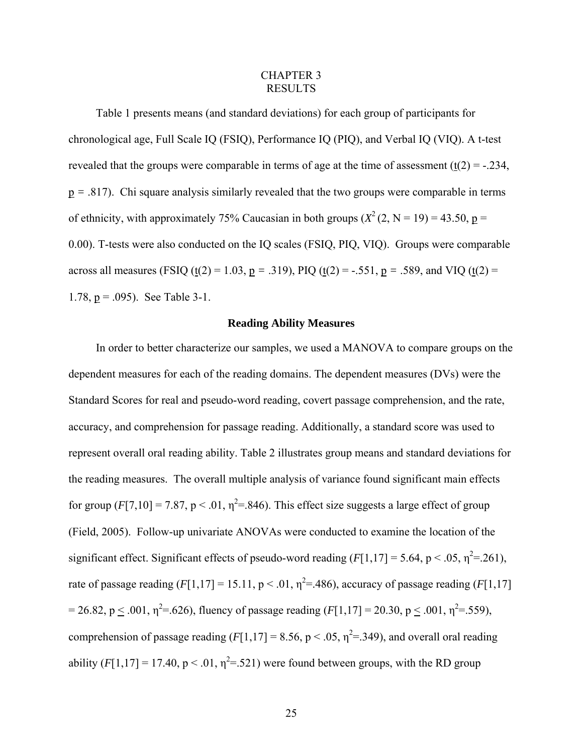#### CHAPTER 3 RESULTS

<span id="page-24-0"></span>Table 1 presents means (and standard deviations) for each group of participants for chronological age, Full Scale IQ (FSIQ), Performance IQ (PIQ), and Verbal IQ (VIQ). A t-test revealed that the groups were comparable in terms of age at the time of assessment  $(t(2) = -0.234)$ , p *=* .817). Chi square analysis similarly revealed that the two groups were comparable in terms of ethnicity, with approximately 75% Caucasian in both groups  $(X^2(2, N = 19) = 43.50, p =$ 0.00). T-tests were also conducted on the IQ scales (FSIQ, PIQ, VIQ). Groups were comparable across all measures (FSIQ (t(2) = 1.03, p = .319), PIQ (t(2) = -.551, p = .589, and VIQ (t(2) = 1.78,  $p = .095$ ). See Table 3-1.

#### **Reading Ability Measures**

In order to better characterize our samples, we used a MANOVA to compare groups on the dependent measures for each of the reading domains. The dependent measures (DVs) were the Standard Scores for real and pseudo-word reading, covert passage comprehension, and the rate, accuracy, and comprehension for passage reading. Additionally, a standard score was used to represent overall oral reading ability. Table 2 illustrates group means and standard deviations for the reading measures. The overall multiple analysis of variance found significant main effects for group  $(F[7, 10] = 7.87$ , p < .01,  $\eta^2 = 846$ ). This effect size suggests a large effect of group (Field, 2005). Follow-up univariate ANOVAs were conducted to examine the location of the significant effect. Significant effects of pseudo-word reading  $(F[1,17] = 5.64, p < .05, \eta^2 = .261)$ , rate of passage reading  $(F[1,17] = 15.11, p < .01, \eta^2 = .486)$ , accuracy of passage reading  $(F[1,17]$  $= 26.82, p \le .001, \eta^2 = .626$ , fluency of passage reading  $(F[1, 17] = 20.30, p \le .001, \eta^2 = .559)$ , comprehension of passage reading  $(F[1,17] = 8.56, p < .05, \eta^2 = .349)$ , and overall oral reading ability  $(F[1, 17] = 17.40$ ,  $p < .01$ ,  $\eta^2 = .521$ ) were found between groups, with the RD group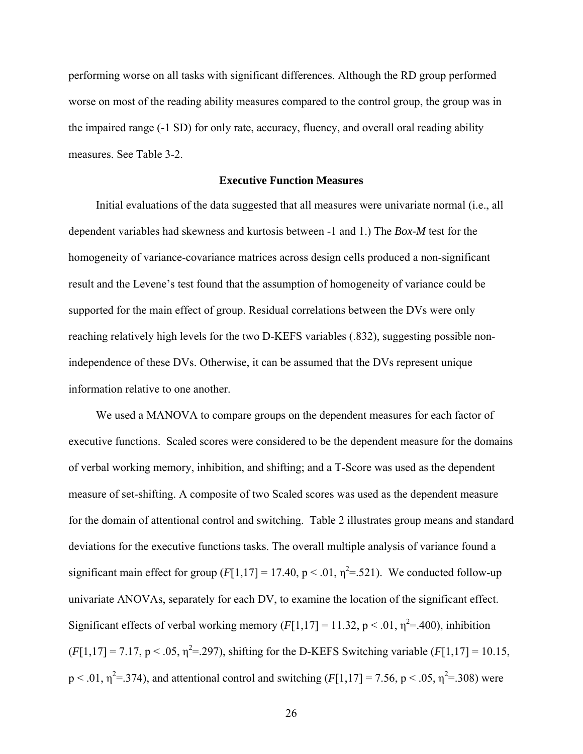<span id="page-25-0"></span>performing worse on all tasks with significant differences. Although the RD group performed worse on most of the reading ability measures compared to the control group, the group was in the impaired range (-1 SD) for only rate, accuracy, fluency, and overall oral reading ability measures. See Table 3-2.

# **Executive Function Measures**

Initial evaluations of the data suggested that all measures were univariate normal (i.e., all dependent variables had skewness and kurtosis between -1 and 1.) The *Box-M* test for the homogeneity of variance-covariance matrices across design cells produced a non-significant result and the Levene's test found that the assumption of homogeneity of variance could be supported for the main effect of group. Residual correlations between the DVs were only reaching relatively high levels for the two D-KEFS variables (.832), suggesting possible nonindependence of these DVs. Otherwise, it can be assumed that the DVs represent unique information relative to one another.

We used a MANOVA to compare groups on the dependent measures for each factor of executive functions. Scaled scores were considered to be the dependent measure for the domains of verbal working memory, inhibition, and shifting; and a T-Score was used as the dependent measure of set-shifting. A composite of two Scaled scores was used as the dependent measure for the domain of attentional control and switching. Table 2 illustrates group means and standard deviations for the executive functions tasks. The overall multiple analysis of variance found a significant main effect for group  $(F[1,17] = 17.40, p < .01, \eta^2 = .521)$ . We conducted follow-up univariate ANOVAs, separately for each DV, to examine the location of the significant effect. Significant effects of verbal working memory  $(F[1,17] = 11.32, p < .01, \eta^2 = .400)$ , inhibition  $(F[1,17] = 7.17, p < .05, \eta^2 = .297)$ , shifting for the D-KEFS Switching variable  $(F[1,17] = 10.15,$  $p < .01$ ,  $\eta^2 = .374$ ), and attentional control and switching ( $F[1,17] = 7.56$ ,  $p < .05$ ,  $\eta^2 = .308$ ) were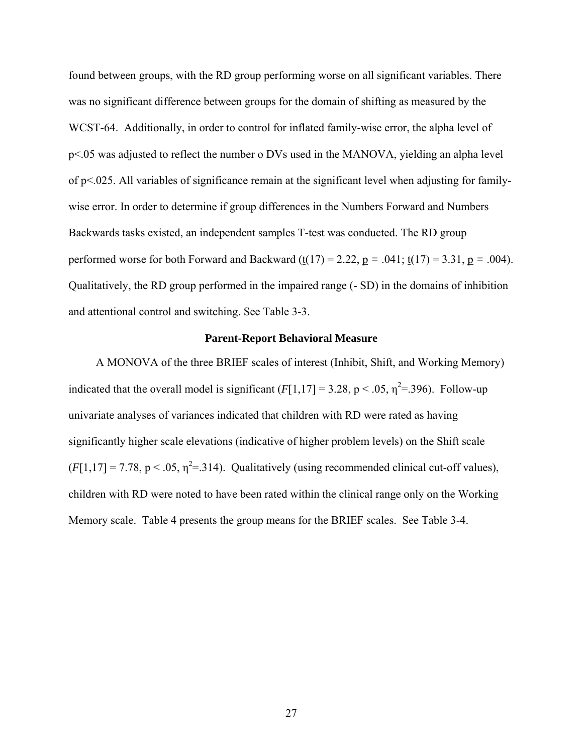<span id="page-26-0"></span>found between groups, with the RD group performing worse on all significant variables. There was no significant difference between groups for the domain of shifting as measured by the WCST-64. Additionally, in order to control for inflated family-wise error, the alpha level of p<.05 was adjusted to reflect the number o DVs used in the MANOVA, yielding an alpha level of p<.025. All variables of significance remain at the significant level when adjusting for familywise error. In order to determine if group differences in the Numbers Forward and Numbers Backwards tasks existed, an independent samples T-test was conducted. The RD group performed worse for both Forward and Backward  $(t(17) = 2.22, p = .041; t(17) = 3.31, p = .004$ . Qualitatively, the RD group performed in the impaired range (- SD) in the domains of inhibition and attentional control and switching. See Table 3-3.

#### **Parent-Report Behavioral Measure**

A MONOVA of the three BRIEF scales of interest (Inhibit, Shift, and Working Memory) indicated that the overall model is significant  $(F[1,17] = 3.28, p < .05, \eta^2 = .396)$ . Follow-up univariate analyses of variances indicated that children with RD were rated as having significantly higher scale elevations (indicative of higher problem levels) on the Shift scale  $(F[1,17] = 7.78, p < .05, \eta^2 = .314)$ . Qualitatively (using recommended clinical cut-off values), children with RD were noted to have been rated within the clinical range only on the Working Memory scale. Table 4 presents the group means for the BRIEF scales. See Table 3-4.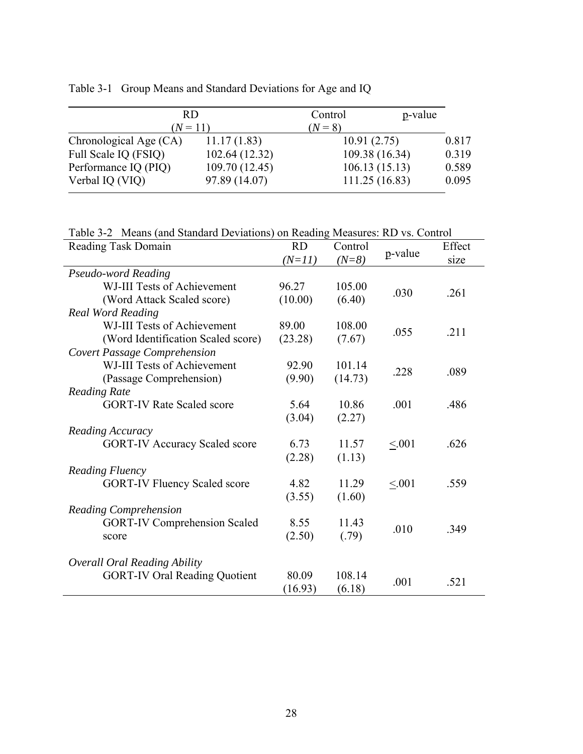<span id="page-27-0"></span>

| Table 3-1 Group Means and Standard Deviations for Age and IQ |  |  |  |  |  |
|--------------------------------------------------------------|--|--|--|--|--|
|--------------------------------------------------------------|--|--|--|--|--|

| RD                     |                | Control     | p-value        |       |
|------------------------|----------------|-------------|----------------|-------|
| $(N = 11)$             |                | $(N=8)$     |                |       |
| Chronological Age (CA) | 11.17(1.83)    | 10.91(2.75) |                | 0.817 |
| Full Scale IQ (FSIQ)   | 102.64 (12.32) |             | 109.38 (16.34) | 0.319 |
| Performance IQ (PIQ)   | 109.70 (12.45) |             | 106.13(15.13)  | 0.589 |
| Verbal IQ (VIQ)        | 97.89 (14.07)  |             | 111.25(16.83)  | 0.095 |

Table 3-2 Means (and Standard Deviations) on Reading Measures: RD vs. Control

| Reading Task Domain                  | <b>RD</b> | Control | p-value | Effect |  |  |  |
|--------------------------------------|-----------|---------|---------|--------|--|--|--|
|                                      | $(N=11)$  | $(N=8)$ |         | size   |  |  |  |
| Pseudo-word Reading                  |           |         |         |        |  |  |  |
| WJ-III Tests of Achievement          | 96.27     | 105.00  | .030    | .261   |  |  |  |
| (Word Attack Scaled score)           | (10.00)   | (6.40)  |         |        |  |  |  |
| <b>Real Word Reading</b>             |           |         |         |        |  |  |  |
| WJ-III Tests of Achievement          | 89.00     | 108.00  | .055    | .211   |  |  |  |
| (Word Identification Scaled score)   | (23.28)   | (7.67)  |         |        |  |  |  |
| <b>Covert Passage Comprehension</b>  |           |         |         |        |  |  |  |
| WJ-III Tests of Achievement          | 92.90     | 101.14  | .228    | .089   |  |  |  |
| (Passage Comprehension)              | (9.90)    | (14.73) |         |        |  |  |  |
| <b>Reading Rate</b>                  |           |         |         |        |  |  |  |
| <b>GORT-IV Rate Scaled score</b>     | 5.64      | 10.86   | .001    | .486   |  |  |  |
|                                      | (3.04)    | (2.27)  |         |        |  |  |  |
| Reading Accuracy                     |           |         |         |        |  |  |  |
| <b>GORT-IV Accuracy Scaled score</b> | 6.73      | 11.57   | < 0.01  | .626   |  |  |  |
|                                      | (2.28)    | (1.13)  |         |        |  |  |  |
| Reading Fluency                      |           |         |         |        |  |  |  |
| <b>GORT-IV Fluency Scaled score</b>  | 4.82      | 11.29   | < 0.01  | .559   |  |  |  |
|                                      | (3.55)    | (1.60)  |         |        |  |  |  |
| <b>Reading Comprehension</b>         |           |         |         |        |  |  |  |
| <b>GORT-IV Comprehension Scaled</b>  | 8.55      | 11.43   | .010    | .349   |  |  |  |
| score                                | (2.50)    | (.79)   |         |        |  |  |  |
|                                      |           |         |         |        |  |  |  |
| <b>Overall Oral Reading Ability</b>  |           |         |         |        |  |  |  |
| <b>GORT-IV Oral Reading Quotient</b> | 80.09     | 108.14  | .001    | .521   |  |  |  |
|                                      | (16.93)   | (6.18)  |         |        |  |  |  |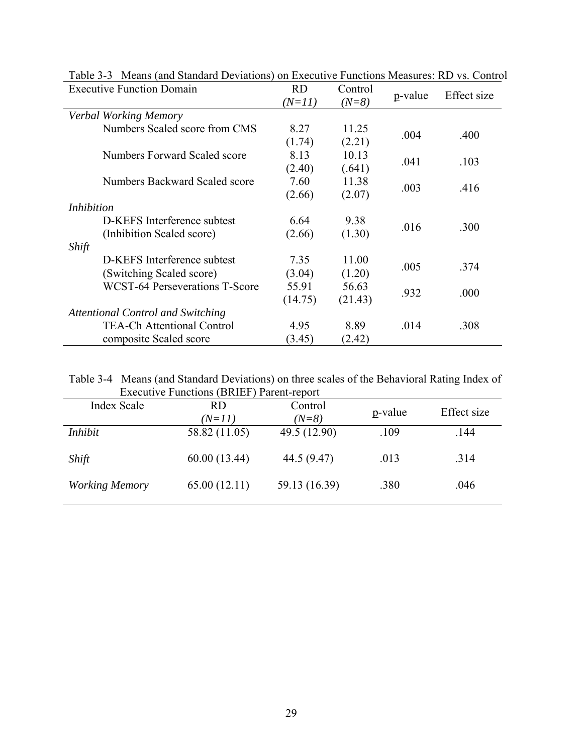| <b>Executive Function Domain</b>         | <b>RD</b> | Control |         | Effect size |
|------------------------------------------|-----------|---------|---------|-------------|
|                                          | $(N=11)$  | $(N=8)$ | p-value |             |
| Verbal Working Memory                    |           |         |         |             |
| Numbers Scaled score from CMS            | 8.27      | 11.25   |         |             |
|                                          | (1.74)    | (2.21)  | .004    | .400        |
| Numbers Forward Scaled score             | 8.13      | 10.13   |         |             |
|                                          | (2.40)    | (.641)  | .041    | .103        |
| Numbers Backward Scaled score            | 7.60      | 11.38   |         |             |
|                                          | (2.66)    | (2.07)  | .003    | .416        |
| <i>Inhibition</i>                        |           |         |         |             |
| D-KEFS Interference subtest              | 6.64      | 9.38    |         |             |
| (Inhibition Scaled score)                | (2.66)    | (1.30)  | .016    | .300        |
| Shift                                    |           |         |         |             |
| D-KEFS Interference subtest              | 7.35      | 11.00   |         |             |
| (Switching Scaled score)                 | (3.04)    | (1.20)  | .005    | .374        |
| <b>WCST-64 Perseverations T-Score</b>    | 55.91     | 56.63   |         |             |
|                                          | (14.75)   | (21.43) | .932    | .000        |
| <b>Attentional Control and Switching</b> |           |         |         |             |
| <b>TEA-Ch Attentional Control</b>        | 4.95      | 8.89    | .014    | .308        |
| composite Scaled score                   | (3.45)    | (2.42)  |         |             |

<span id="page-28-0"></span>Table 3-3 Means (and Standard Deviations) on Executive Functions Measures: RD vs. Control

| Table 3-4 Means (and Standard Deviations) on three scales of the Behavioral Rating Index of |  |  |
|---------------------------------------------------------------------------------------------|--|--|
| Executive Functions (BRIEF) Parent-report                                                   |  |  |

| Index Scale           | <b>RD</b><br>$(N=11)$ | Control<br>$(N=8)$ | p-value | Effect size |
|-----------------------|-----------------------|--------------------|---------|-------------|
| Inhibit               | 58.82 (11.05)         | 49.5 (12.90)       | .109    | .144        |
| Shift                 | 60.00(13.44)          | 44.5 (9.47)        | .013    | .314        |
| <b>Working Memory</b> | 65.00(12.11)          | 59.13 (16.39)      | .380    | .046        |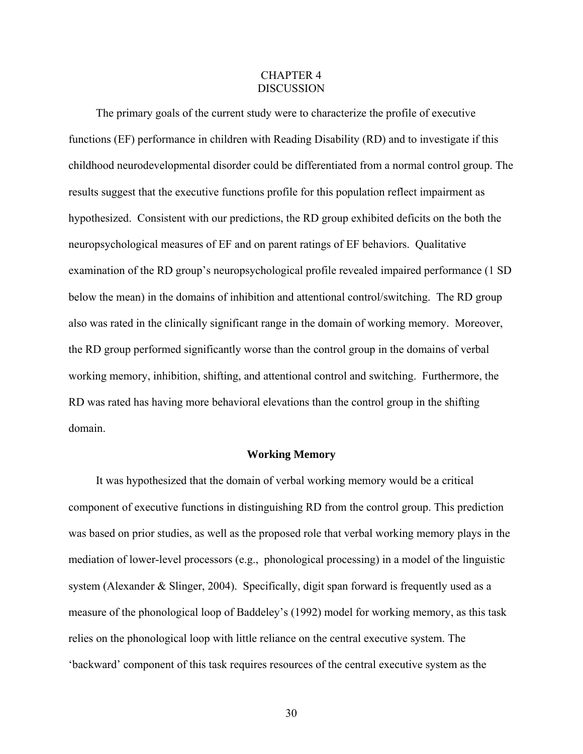## CHAPTER 4 **DISCUSSION**

<span id="page-29-0"></span>The primary goals of the current study were to characterize the profile of executive functions (EF) performance in children with Reading Disability (RD) and to investigate if this childhood neurodevelopmental disorder could be differentiated from a normal control group. The results suggest that the executive functions profile for this population reflect impairment as hypothesized. Consistent with our predictions, the RD group exhibited deficits on the both the neuropsychological measures of EF and on parent ratings of EF behaviors. Qualitative examination of the RD group's neuropsychological profile revealed impaired performance (1 SD below the mean) in the domains of inhibition and attentional control/switching. The RD group also was rated in the clinically significant range in the domain of working memory. Moreover, the RD group performed significantly worse than the control group in the domains of verbal working memory, inhibition, shifting, and attentional control and switching. Furthermore, the RD was rated has having more behavioral elevations than the control group in the shifting domain.

## **Working Memory**

It was hypothesized that the domain of verbal working memory would be a critical component of executive functions in distinguishing RD from the control group. This prediction was based on prior studies, as well as the proposed role that verbal working memory plays in the mediation of lower-level processors (e.g., phonological processing) in a model of the linguistic system (Alexander & Slinger, 2004). Specifically, digit span forward is frequently used as a measure of the phonological loop of Baddeley's (1992) model for working memory, as this task relies on the phonological loop with little reliance on the central executive system. The 'backward' component of this task requires resources of the central executive system as the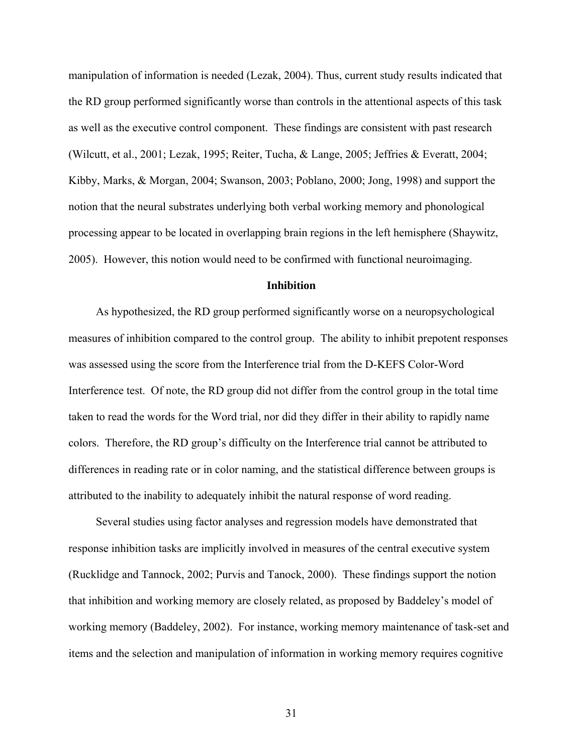<span id="page-30-0"></span>manipulation of information is needed (Lezak, 2004). Thus, current study results indicated that the RD group performed significantly worse than controls in the attentional aspects of this task as well as the executive control component. These findings are consistent with past research (Wilcutt, et al., 2001; Lezak, 1995; Reiter, Tucha, & Lange, 2005; Jeffries & Everatt, 2004; Kibby, Marks, & Morgan, 2004; Swanson, 2003; Poblano, 2000; Jong, 1998) and support the notion that the neural substrates underlying both verbal working memory and phonological processing appear to be located in overlapping brain regions in the left hemisphere (Shaywitz, 2005). However, this notion would need to be confirmed with functional neuroimaging.

#### **Inhibition**

As hypothesized, the RD group performed significantly worse on a neuropsychological measures of inhibition compared to the control group. The ability to inhibit prepotent responses was assessed using the score from the Interference trial from the D-KEFS Color-Word Interference test. Of note, the RD group did not differ from the control group in the total time taken to read the words for the Word trial, nor did they differ in their ability to rapidly name colors. Therefore, the RD group's difficulty on the Interference trial cannot be attributed to differences in reading rate or in color naming, and the statistical difference between groups is attributed to the inability to adequately inhibit the natural response of word reading.

Several studies using factor analyses and regression models have demonstrated that response inhibition tasks are implicitly involved in measures of the central executive system (Rucklidge and Tannock, 2002; Purvis and Tanock, 2000). These findings support the notion that inhibition and working memory are closely related, as proposed by Baddeley's model of working memory (Baddeley, 2002). For instance, working memory maintenance of task-set and items and the selection and manipulation of information in working memory requires cognitive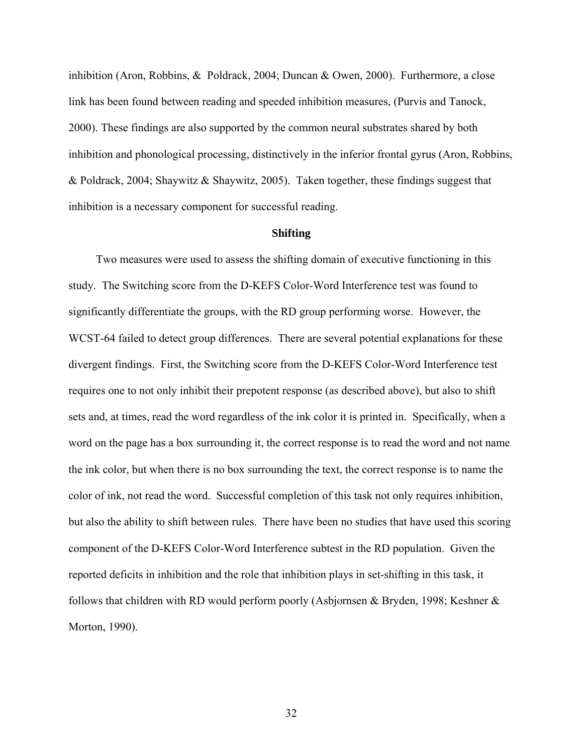<span id="page-31-0"></span>inhibition (Aron, Robbins, & Poldrack, 2004; Duncan & Owen, 2000). Furthermore, a close link has been found between reading and speeded inhibition measures, (Purvis and Tanock, 2000). These findings are also supported by the common neural substrates shared by both inhibition and phonological processing, distinctively in the inferior frontal gyrus (Aron, Robbins, & Poldrack, 2004; Shaywitz & Shaywitz, 2005). Taken together, these findings suggest that inhibition is a necessary component for successful reading.

## **Shifting**

Two measures were used to assess the shifting domain of executive functioning in this study. The Switching score from the D-KEFS Color-Word Interference test was found to significantly differentiate the groups, with the RD group performing worse. However, the WCST-64 failed to detect group differences. There are several potential explanations for these divergent findings. First, the Switching score from the D-KEFS Color-Word Interference test requires one to not only inhibit their prepotent response (as described above), but also to shift sets and, at times, read the word regardless of the ink color it is printed in. Specifically, when a word on the page has a box surrounding it, the correct response is to read the word and not name the ink color, but when there is no box surrounding the text, the correct response is to name the color of ink, not read the word. Successful completion of this task not only requires inhibition, but also the ability to shift between rules. There have been no studies that have used this scoring component of the D-KEFS Color-Word Interference subtest in the RD population. Given the reported deficits in inhibition and the role that inhibition plays in set-shifting in this task, it follows that children with RD would perform poorly (Asbjørnsen & Bryden, 1998; Keshner & Morton, 1990).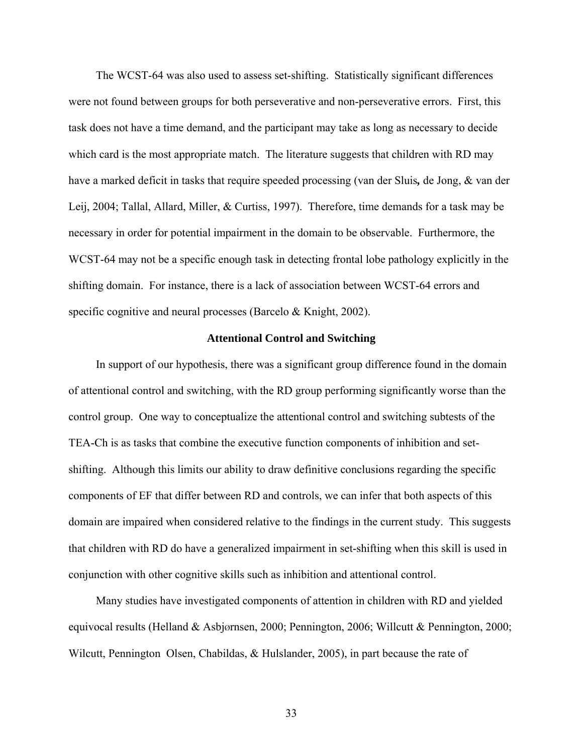<span id="page-32-0"></span>The WCST-64 was also used to assess set-shifting. Statistically significant differences were not found between groups for both perseverative and non-perseverative errors. First, this task does not have a time demand, and the participant may take as long as necessary to decide which card is the most appropriate match. The literature suggests that children with RD may have a marked deficit in tasks that require speeded processing (van der Sluis*,* de Jong, & van der Leij, 2004; Tallal, Allard, Miller, & Curtiss, 1997). Therefore, time demands for a task may be necessary in order for potential impairment in the domain to be observable. Furthermore, the WCST-64 may not be a specific enough task in detecting frontal lobe pathology explicitly in the shifting domain. For instance, there is a lack of association between WCST-64 errors and specific cognitive and neural processes (Barcelo & Knight, 2002).

#### **Attentional Control and Switching**

In support of our hypothesis, there was a significant group difference found in the domain of attentional control and switching, with the RD group performing significantly worse than the control group. One way to conceptualize the attentional control and switching subtests of the TEA-Ch is as tasks that combine the executive function components of inhibition and setshifting. Although this limits our ability to draw definitive conclusions regarding the specific components of EF that differ between RD and controls, we can infer that both aspects of this domain are impaired when considered relative to the findings in the current study. This suggests that children with RD do have a generalized impairment in set-shifting when this skill is used in conjunction with other cognitive skills such as inhibition and attentional control.

Many studies have investigated components of attention in children with RD and yielded equivocal results (Helland & Asbjørnsen, 2000; Pennington, 2006; Willcutt & Pennington, 2000; Wilcutt, Pennington Olsen, Chabildas, & Hulslander, 2005), in part because the rate of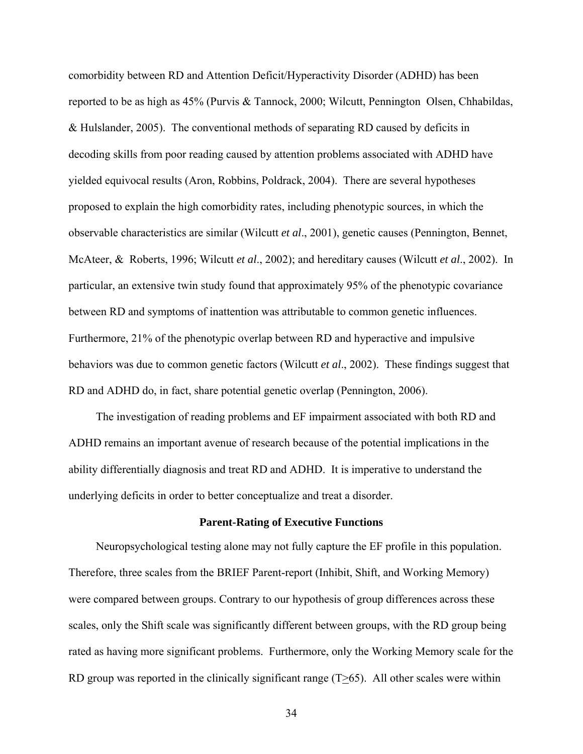<span id="page-33-0"></span>comorbidity between RD and Attention Deficit/Hyperactivity Disorder (ADHD) has been reported to be as high as 45% (Purvis & Tannock, 2000; Wilcutt, Pennington Olsen, Chhabildas, & Hulslander, 2005). The conventional methods of separating RD caused by deficits in decoding skills from poor reading caused by attention problems associated with ADHD have yielded equivocal results (Aron, Robbins, Poldrack, 2004). There are several hypotheses proposed to explain the high comorbidity rates, including phenotypic sources, in which the observable characteristics are similar (Wilcutt *et al*., 2001), genetic causes (Pennington, Bennet, McAteer, & Roberts, 1996; Wilcutt *et al*., 2002); and hereditary causes (Wilcutt *et al*., 2002). In particular, an extensive twin study found that approximately 95% of the phenotypic covariance between RD and symptoms of inattention was attributable to common genetic influences. Furthermore, 21% of the phenotypic overlap between RD and hyperactive and impulsive behaviors was due to common genetic factors (Wilcutt *et al*., 2002). These findings suggest that RD and ADHD do, in fact, share potential genetic overlap (Pennington, 2006).

The investigation of reading problems and EF impairment associated with both RD and ADHD remains an important avenue of research because of the potential implications in the ability differentially diagnosis and treat RD and ADHD. It is imperative to understand the underlying deficits in order to better conceptualize and treat a disorder.

#### **Parent-Rating of Executive Functions**

Neuropsychological testing alone may not fully capture the EF profile in this population. Therefore, three scales from the BRIEF Parent-report (Inhibit, Shift, and Working Memory) were compared between groups. Contrary to our hypothesis of group differences across these scales, only the Shift scale was significantly different between groups, with the RD group being rated as having more significant problems. Furthermore, only the Working Memory scale for the RD group was reported in the clinically significant range  $(T\geq 65)$ . All other scales were within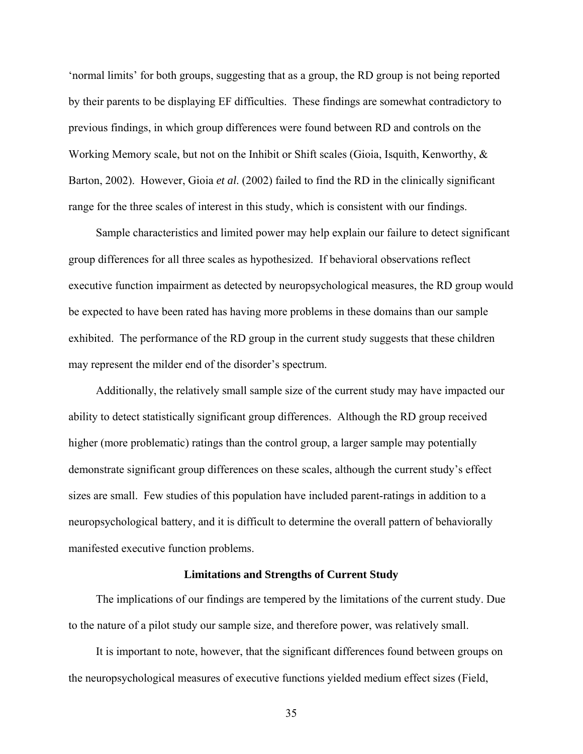<span id="page-34-0"></span>'normal limits' for both groups, suggesting that as a group, the RD group is not being reported by their parents to be displaying EF difficulties. These findings are somewhat contradictory to previous findings, in which group differences were found between RD and controls on the Working Memory scale, but not on the Inhibit or Shift scales (Gioia, Isquith, Kenworthy, & Barton, 2002). However, Gioia *et al*. (2002) failed to find the RD in the clinically significant range for the three scales of interest in this study, which is consistent with our findings.

Sample characteristics and limited power may help explain our failure to detect significant group differences for all three scales as hypothesized. If behavioral observations reflect executive function impairment as detected by neuropsychological measures, the RD group would be expected to have been rated has having more problems in these domains than our sample exhibited. The performance of the RD group in the current study suggests that these children may represent the milder end of the disorder's spectrum.

Additionally, the relatively small sample size of the current study may have impacted our ability to detect statistically significant group differences. Although the RD group received higher (more problematic) ratings than the control group, a larger sample may potentially demonstrate significant group differences on these scales, although the current study's effect sizes are small. Few studies of this population have included parent-ratings in addition to a neuropsychological battery, and it is difficult to determine the overall pattern of behaviorally manifested executive function problems.

#### **Limitations and Strengths of Current Study**

The implications of our findings are tempered by the limitations of the current study. Due to the nature of a pilot study our sample size, and therefore power, was relatively small.

It is important to note, however, that the significant differences found between groups on the neuropsychological measures of executive functions yielded medium effect sizes (Field,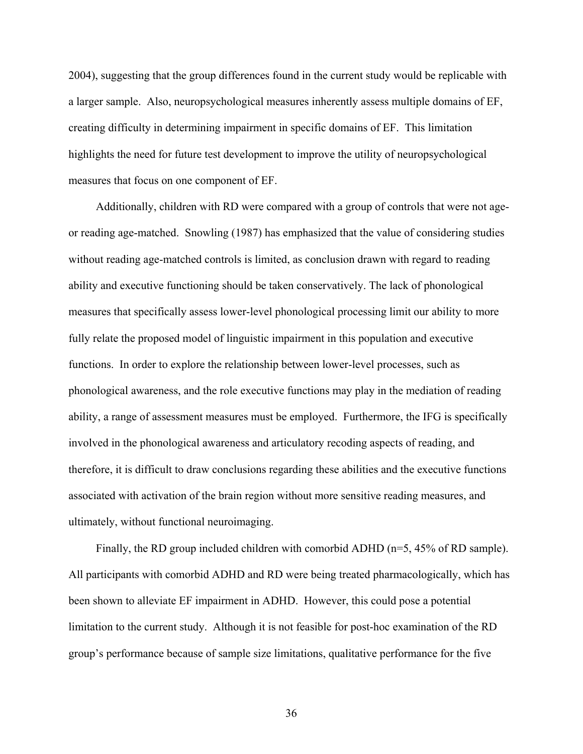2004), suggesting that the group differences found in the current study would be replicable with a larger sample. Also, neuropsychological measures inherently assess multiple domains of EF, creating difficulty in determining impairment in specific domains of EF. This limitation highlights the need for future test development to improve the utility of neuropsychological measures that focus on one component of EF.

Additionally, children with RD were compared with a group of controls that were not ageor reading age-matched. Snowling (1987) has emphasized that the value of considering studies without reading age-matched controls is limited, as conclusion drawn with regard to reading ability and executive functioning should be taken conservatively. The lack of phonological measures that specifically assess lower-level phonological processing limit our ability to more fully relate the proposed model of linguistic impairment in this population and executive functions. In order to explore the relationship between lower-level processes, such as phonological awareness, and the role executive functions may play in the mediation of reading ability, a range of assessment measures must be employed. Furthermore, the IFG is specifically involved in the phonological awareness and articulatory recoding aspects of reading, and therefore, it is difficult to draw conclusions regarding these abilities and the executive functions associated with activation of the brain region without more sensitive reading measures, and ultimately, without functional neuroimaging.

Finally, the RD group included children with comorbid ADHD (n=5, 45% of RD sample). All participants with comorbid ADHD and RD were being treated pharmacologically, which has been shown to alleviate EF impairment in ADHD. However, this could pose a potential limitation to the current study. Although it is not feasible for post-hoc examination of the RD group's performance because of sample size limitations, qualitative performance for the five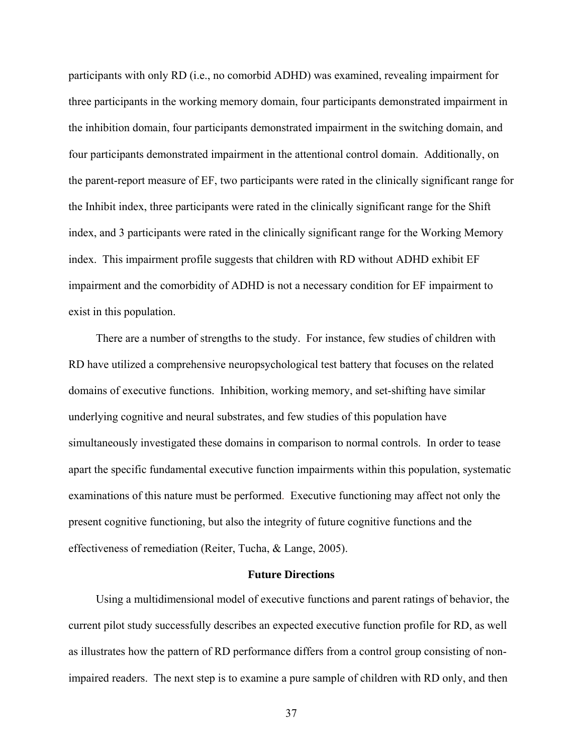<span id="page-36-0"></span>participants with only RD (i.e., no comorbid ADHD) was examined, revealing impairment for three participants in the working memory domain, four participants demonstrated impairment in the inhibition domain, four participants demonstrated impairment in the switching domain, and four participants demonstrated impairment in the attentional control domain. Additionally, on the parent-report measure of EF, two participants were rated in the clinically significant range for the Inhibit index, three participants were rated in the clinically significant range for the Shift index, and 3 participants were rated in the clinically significant range for the Working Memory index. This impairment profile suggests that children with RD without ADHD exhibit EF impairment and the comorbidity of ADHD is not a necessary condition for EF impairment to exist in this population.

There are a number of strengths to the study. For instance, few studies of children with RD have utilized a comprehensive neuropsychological test battery that focuses on the related domains of executive functions. Inhibition, working memory, and set-shifting have similar underlying cognitive and neural substrates, and few studies of this population have simultaneously investigated these domains in comparison to normal controls. In order to tease apart the specific fundamental executive function impairments within this population, systematic examinations of this nature must be performed. Executive functioning may affect not only the present cognitive functioning, but also the integrity of future cognitive functions and the effectiveness of remediation (Reiter, Tucha, & Lange, 2005).

#### **Future Directions**

Using a multidimensional model of executive functions and parent ratings of behavior, the current pilot study successfully describes an expected executive function profile for RD, as well as illustrates how the pattern of RD performance differs from a control group consisting of nonimpaired readers. The next step is to examine a pure sample of children with RD only, and then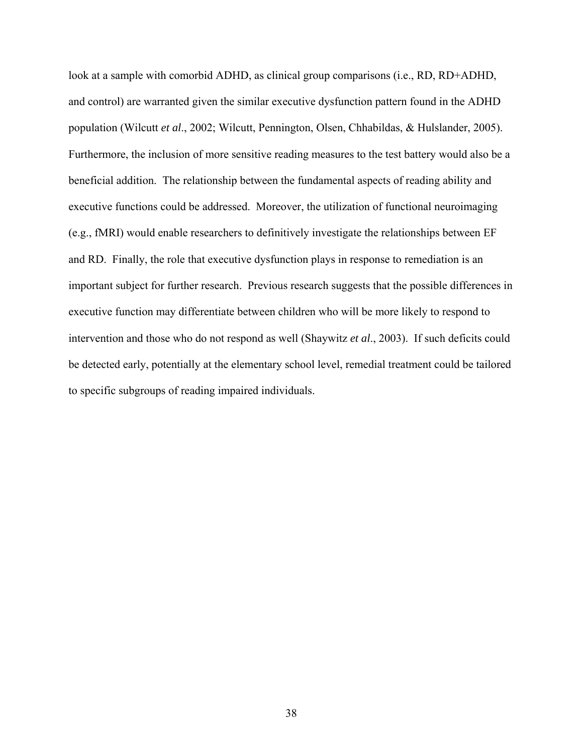look at a sample with comorbid ADHD, as clinical group comparisons (i.e., RD, RD+ADHD, and control) are warranted given the similar executive dysfunction pattern found in the ADHD population (Wilcutt *et al*., 2002; Wilcutt, Pennington, Olsen, Chhabildas, & Hulslander, 2005). Furthermore, the inclusion of more sensitive reading measures to the test battery would also be a beneficial addition. The relationship between the fundamental aspects of reading ability and executive functions could be addressed. Moreover, the utilization of functional neuroimaging (e.g., fMRI) would enable researchers to definitively investigate the relationships between EF and RD. Finally, the role that executive dysfunction plays in response to remediation is an important subject for further research. Previous research suggests that the possible differences in executive function may differentiate between children who will be more likely to respond to intervention and those who do not respond as well (Shaywitz *et al*., 2003). If such deficits could be detected early, potentially at the elementary school level, remedial treatment could be tailored to specific subgroups of reading impaired individuals.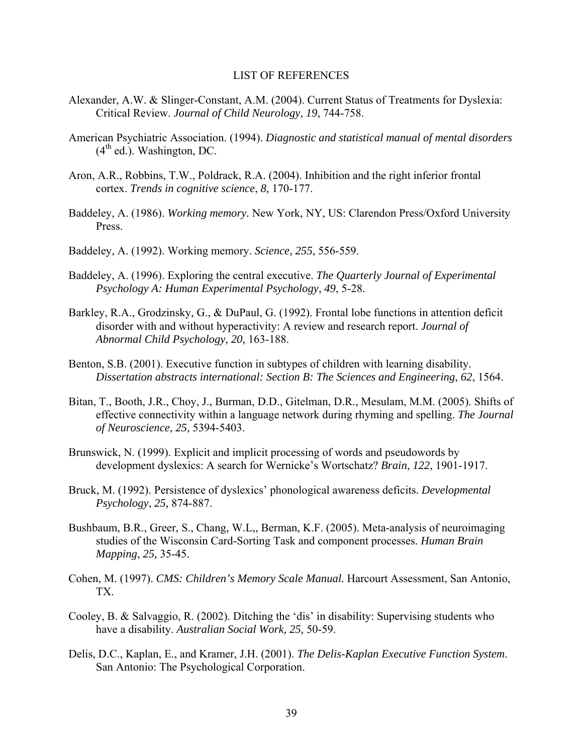#### LIST OF REFERENCES

- <span id="page-38-0"></span>Alexander, A.W. & Slinger-Constant, A.M. (2004). Current Status of Treatments for Dyslexia: Critical Review. *Journal of Child Neurology*, *19*, 744-758.
- American Psychiatric Association. (1994). *Diagnostic and statistical manual of mental disorders*   $(4<sup>th</sup>$  ed.). Washington, DC.
- Aron, A.R., Robbins, T.W., Poldrack, R.A. (2004). Inhibition and the right inferior frontal cortex. *Trends in cognitive science*, *8,* 170-177.
- Baddeley, A. (1986). *[Working memory.](http://web.ebscohost.com.lp.hscl.ufl.edu/ehost/viewarticle?data=dGJyMPPp44rp2%2fdV0%2bnjisfk5Ie46bZRtq2xTa%2bk63nn5Kx95uXxjL6orUqwpbBIrq2eUbioslKvr55oy5zyit%2fk8Xnh6ueH7N%2fiVauosEm2pq9Rt6ykhN%2fk5VXj5KR84LPui%2ffepIzf3btZzJzfhrunt1C0o7dQs6i0Ra6mrj7k5fCF3%2bq7fvPi6mzj7vIA&hid=105)* New York, NY, US: Clarendon Press/Oxford University Press.
- Baddeley, A. (1992). [Working memory.](http://web.ebscohost.com.lp.hscl.ufl.edu/ehost/viewarticle?data=dGJyMPPp44rp2%2fdV0%2bnjisfk5Ie46bZRtq2xTa%2bk63nn5Kx95uXxjL6orUqwpbBIrq2eUbioslKvr55oy5zyit%2fk8Xnh6ueH7N%2fiVauosEm2pq9Rt6ykhN%2fk5VXj5KR84LPui%2ffepIzf3btZzJzfhrunt1Gwo7BOr6uuRa6mrz7k5fCF3%2bq7fvPi6mzj7vIA&hid=105) *Science, 255*, 556-559.
- Baddeley, A. (1996). [Exploring the central executive.](http://web.ebscohost.com.lp.hscl.ufl.edu/ehost/viewarticle?data=dGJyMPPp44rp2%2fdV0%2bnjisfk5Ie46bZRtq2xTa%2bk63nn5Kx95uXxjL6orUqwpbBIrq2eUbioslKvr55oy5zyit%2fk8Xnh6ueH7N%2fiVauosEm2pq9Rt6ykhN%2fk5VXj5KR84LPui%2ffepIzf3btZzJzfhrunt1G0o65Lsq62Ra6mrz7k5fCF3%2bq7fvPi6mzj7vIA&hid=105) *The Quarterly Journal of Experimental Psychology A: Human Experimental Psychology*, *49*, 5-28.
- Barkley, R.A., Grodzinsky, G., & DuPaul, G. (1992). Frontal lobe functions in attention deficit disorder with and without hyperactivity: A review and research report. *Journal of Abnormal Child Psychology, 20,* 163-188.
- Benton, S.B. (2001). Executive function in subtypes of children with learning disability. *Dissertation abstracts international: Section B: The Sciences and Engineering*, *62*, 1564.
- Bitan, T., Booth, J.R., Choy, J., Burman, D.D., Gitelman, D.R., Mesulam, M.M. (2005). Shifts of effective connectivity within a language network during rhyming and spelling. *The Journal of Neuroscience*, *25*, 5394-5403.
- Brunswick, N. (1999). Explicit and implicit processing of words and pseudowords by development dyslexics: A search for Wernicke's Wortschatz? *Brain*, *122*, 1901-1917.
- Bruck, M. (1992). Persistence of dyslexics' phonological awareness deficits. *Developmental Psychology*, *25,* 874-887.
- Bushbaum, B.R., Greer, S., Chang, W.L,, Berman, K.F. (2005). Meta-analysis of neuroimaging studies of the Wisconsin Card-Sorting Task and component processes. *Human Brain Mapping*, *25,* 35-45.
- Cohen, M. (1997). *CMS: Children's Memory Scale Manual.* Harcourt Assessment, San Antonio, TX.
- Cooley, B. & Salvaggio, R. (2002). Ditching the 'dis' in disability: Supervising students who have a disability. *Australian Social Work, 25,* 50-59.
- Delis, D.C., Kaplan, E., and Kramer, J.H. (2001). *The Delis-Kaplan Executive Function System*. San Antonio: The Psychological Corporation.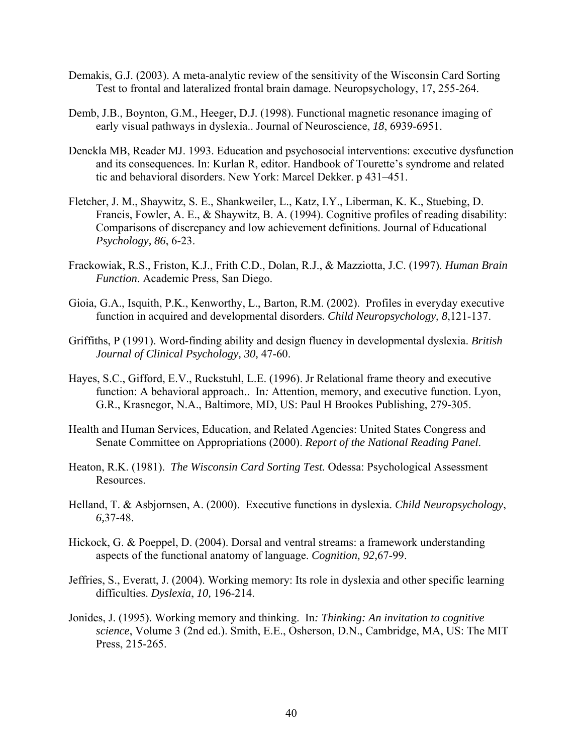- Demakis, G.J. (2003). [A meta-analytic review of the sensitivity of the Wisconsin Card Sorting](http://web.ebscohost.com.lp.hscl.ufl.edu/ehost/viewarticle?data=dGJyMPPp44rp2%2fdV0%2bnjisfk5Ie46bZRtq2xTa%2bk63nn5Kx95uXxjL6orUqwpbBIrq2eUbioslKvr55oy5zyit%2fk8Xnh6ueH7N%2fiVauosEm2pq9Rt6ykhN%2fk5VXj5KR84LPui%2ffepIzf3btZzJzfhruorkixo65IsKy1Ra6mtz7k5fCF3%2bq7fvPi6mzj7vIA&hid=105)  [Test to frontal and lateralized frontal brain damage.](http://web.ebscohost.com.lp.hscl.ufl.edu/ehost/viewarticle?data=dGJyMPPp44rp2%2fdV0%2bnjisfk5Ie46bZRtq2xTa%2bk63nn5Kx95uXxjL6orUqwpbBIrq2eUbioslKvr55oy5zyit%2fk8Xnh6ueH7N%2fiVauosEm2pq9Rt6ykhN%2fk5VXj5KR84LPui%2ffepIzf3btZzJzfhruorkixo65IsKy1Ra6mtz7k5fCF3%2bq7fvPi6mzj7vIA&hid=105) Neuropsychology, 17, 255-264.
- Demb, J.B., Boynton, G.M., Heeger, D.J. (1998). [Functional magnetic resonance imaging of](http://web.ebscohost.com.lp.hscl.ufl.edu/ehost/viewarticle?data=dGJyMPPp44rp2%2fdV0%2bnjisfk5Ie46bZRtq2xTa%2bk63nn5Kx95uXxjL6orUqwpbBIrq2eUbioslKvr55oy5zyit%2fk8Xnh6ueH7N%2fiVauosEm2pq9Rt6ykhN%2fk5VXj5KR84LPui%2ffepIzf3btZzJzfhrunt1G2o69Itqa2Ra6msz7k5fCF3%2bq7fvPi6mzj7vIA&hid=105)  [early visual pathways in dyslexia.](http://web.ebscohost.com.lp.hscl.ufl.edu/ehost/viewarticle?data=dGJyMPPp44rp2%2fdV0%2bnjisfk5Ie46bZRtq2xTa%2bk63nn5Kx95uXxjL6orUqwpbBIrq2eUbioslKvr55oy5zyit%2fk8Xnh6ueH7N%2fiVauosEm2pq9Rt6ykhN%2fk5VXj5KR84LPui%2ffepIzf3btZzJzfhrunt1G2o69Itqa2Ra6msz7k5fCF3%2bq7fvPi6mzj7vIA&hid=105). Journal of Neuroscience, *18*, 6939-6951.
- Denckla MB, Reader MJ. 1993. Education and psychosocial interventions: executive dysfunction and its consequences. In: Kurlan R, editor. Handbook of Tourette's syndrome and related tic and behavioral disorders. New York: Marcel Dekker. p 431–451.
- Fletcher, J. M., Shaywitz, S. E., Shankweiler, L., Katz, I.Y., Liberman, K. K., Stuebing, D. Francis, Fowler, A. E., & Shaywitz, B. A. (1994). Cognitive profiles of reading disability: Comparisons of discrepancy and low achievement definitions. Journal of Educational *Psychology, 86*, 6-23.
- Frackowiak, R.S., Friston, K.J., Frith C.D., Dolan, R.J., & Mazziotta, J.C. (1997). *Human Brain Function*. Academic Press, San Diego.
- Gioia, G.A., Isquith, P.K., Kenworthy, L., Barton, R.M. (2002). Profiles in everyday executive function in acquired and developmental disorders. *Child Neuropsychology*, *8*,121-137.
- Griffiths, P (1991). Word-finding ability and design fluency in developmental dyslexia. *British Journal of Clinical Psychology, 30,* 47-60.
- Hayes, S.C., Gifford, E.V., Ruckstuhl, L.E. (1996). Jr [Relational frame theory and executive](http://web.ebscohost.com.lp.hscl.ufl.edu/ehost/viewarticle?data=dGJyMPPp44rp2%2fdV0%2bnjisfk5Ie46bZRtq2xTa%2bk63nn5Kx95uXxjL6orUqwpbBIrq2eUbioslKvr55oy5zyit%2fk8Xnh6ueH7N%2fiVauosEm2pq9Rt6ykhN%2fk5VXj5KR84LPui%2ffepIzf3btZzJzfhrunt1Gzo7dQt6awRa6nsz7k5fCF3%2bq7fvPi6mzj7vIA&hid=105)  [function: A behavioral approach.](http://web.ebscohost.com.lp.hscl.ufl.edu/ehost/viewarticle?data=dGJyMPPp44rp2%2fdV0%2bnjisfk5Ie46bZRtq2xTa%2bk63nn5Kx95uXxjL6orUqwpbBIrq2eUbioslKvr55oy5zyit%2fk8Xnh6ueH7N%2fiVauosEm2pq9Rt6ykhN%2fk5VXj5KR84LPui%2ffepIzf3btZzJzfhrunt1Gzo7dQt6awRa6nsz7k5fCF3%2bq7fvPi6mzj7vIA&hid=105). In: Attention, memory, and executive function. Lyon, G.R., Krasnegor, N.A., Baltimore, MD, US: Paul H Brookes Publishing, 279-305.
- Health and Human Services, Education, and Related Agencies: United States Congress and Senate Committee on Appropriations (2000). *Report of the National Reading Panel*.
- Heaton, R.K. (1981). *The Wisconsin Card Sorting Test.* Odessa: Psychological Assessment Resources.
- Helland, T. & Asbjornsen, A. (2000). Executive functions in dyslexia. *Child Neuropsychology*, *6,*37-48.
- Hickock, G. & Poeppel, D. (2004). Dorsal and ventral streams: a framework understanding aspects of the functional anatomy of language. *Cognition, 92,*67-99.
- Jeffries, S., Everatt, J. (2004). Working memory: Its role in dyslexia and other specific learning difficulties. *Dyslexia*, *10,* 196-214.
- Jonides, J. (1995). [Working memory and thinking.](http://web.ebscohost.com.lp.hscl.ufl.edu/ehost/viewarticle?data=dGJyMPPp44rp2%2fdV0%2bnjisfk5Ie46bZRtq2xTa%2bk63nn5Kx95uXxjL6orUqwpbBIrq2eUbioslKvr55oy5zyit%2fk8Xnh6ueH7N%2fiVauosEm2pq9Rt6ykhN%2fk5VXj5KR84LPui%2ffepIzf3btZzJzfhrunt1G0o7dPr6%2bwRa6mtT7k5fCF3%2bq7fvPi6mzj7vIA&hid=105) In*: Thinking: An invitation to cognitive science*, Volume 3 (2nd ed.). Smith, E.E., Osherson, D.N., Cambridge, MA, US: The MIT Press, 215-265.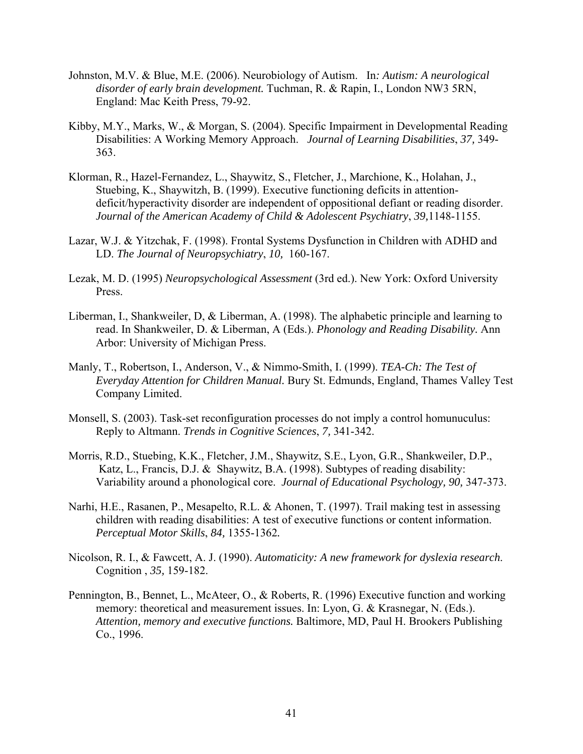- Johnston, M.V. & Blue, M.E. (2006). [Neurobiology of Autism.](http://web.ebscohost.com.lp.hscl.ufl.edu/ehost/viewarticle?data=dGJyMPPp44rp2%2fdV0%2bnjisfk5Ie46bZRtq2xTa%2bk63nn5Kx95uXxjL6orUqwpbBIrq2eUbioslKvr55oy5zyit%2fk8Xnh6ueH7N%2fiVauosEm2pq9Rt6ykhN%2fk5VXj5KR84LPui%2ffepIzf3btZzJzfhruorki0o69Itq6xRa6mtD7k5fCF3%2bq7fvPi6mzj7vIA&hid=105) In*: Autism: A neurological disorder of early brain development.* Tuchman, R. & Rapin, I., London NW3 5RN, England: Mac Keith Press, 79-92.
- Kibby, M.Y., Marks, W., & Morgan, S. (2004). [Specific Impairment in Developmental Reading](http://web.ebscohost.com.lp.hscl.ufl.edu/ehost/viewarticle?data=dGJyMPPp44rp2%2fdV0%2bnjisfk5Ie46bZRtq2xTa%2bk63nn5Kx95uXxjL6orUqwpbBIrq2eUbioslKvr55oy5zyit%2fk8Xnh6ueH7N%2fiVauosEm2pq9Rt6ykhN%2fk5VXj5KR84LPui%2ffepIzf3btZzJzfhruorkiyo69Orqy1Ra6mtD7k5fCF3%2bq7fvPi6mzj7vIA&hid=105)  [Disabilities: A Working Memory Approach.](http://web.ebscohost.com.lp.hscl.ufl.edu/ehost/viewarticle?data=dGJyMPPp44rp2%2fdV0%2bnjisfk5Ie46bZRtq2xTa%2bk63nn5Kx95uXxjL6orUqwpbBIrq2eUbioslKvr55oy5zyit%2fk8Xnh6ueH7N%2fiVauosEm2pq9Rt6ykhN%2fk5VXj5KR84LPui%2ffepIzf3btZzJzfhruorkiyo69Orqy1Ra6mtD7k5fCF3%2bq7fvPi6mzj7vIA&hid=105) *Journal of Learning Disabilities*, *37,* 349- 363.
- Klorman, R., Hazel-Fernandez, L., Shaywitz, S., Fletcher, J., Marchione, K., Holahan, J., Stuebing, K., Shaywitzh, B. (1999). Executive functioning deficits in attentiondeficit/hyperactivity disorder are independent of oppositional defiant or reading disorder. *Journal of the American Academy of Child & Adolescent Psychiatry*, *39,*1148-1155.
- Lazar, W.J. & Yitzchak, F. (1998). Frontal Systems Dysfunction in Children with ADHD and LD. *The Journal of Neuropsychiatry*, *10,* 160-167.
- Lezak, M. D. (1995) *Neuropsychological Assessment* (3rd ed.). New York: Oxford University Press.
- Liberman, I., Shankweiler, D, & Liberman, A. (1998). The alphabetic principle and learning to read. In Shankweiler, D. & Liberman, A (Eds.). *Phonology and Reading Disability.* Ann Arbor: University of Michigan Press.
- Manly, T., Robertson, I., Anderson, V., & Nimmo-Smith, I. (1999). *TEA-Ch: The Test of Everyday Attention for Children Manual.* Bury St. Edmunds, England, Thames Valley Test Company Limited.
- Monsell, S. (2003). [Task-set reconfiguration processes do not imply a control homunuculus:](http://web.ebscohost.com.lp.hscl.ufl.edu/ehost/viewarticle?data=dGJyMPPp44rp2%2fdV0%2bnjisfk5Ie46bZRtq2xTa%2bk63nn5Kx95uXxjL6orUqwpbBIrq2eUbioslKvr55oy5zyit%2fk8Xnh6ueH7N%2fiVauosEm2pq9Rt6ykhN%2fk5VXj5KR84LPui%2ffepIzf3btZzJzfhruorkixo65PtqyzRa6mtj7k5fCF3%2bq7fvPi6mzj7vIA&hid=105)  [Reply to Altmann.](http://web.ebscohost.com.lp.hscl.ufl.edu/ehost/viewarticle?data=dGJyMPPp44rp2%2fdV0%2bnjisfk5Ie46bZRtq2xTa%2bk63nn5Kx95uXxjL6orUqwpbBIrq2eUbioslKvr55oy5zyit%2fk8Xnh6ueH7N%2fiVauosEm2pq9Rt6ykhN%2fk5VXj5KR84LPui%2ffepIzf3btZzJzfhruorkixo65PtqyzRa6mtj7k5fCF3%2bq7fvPi6mzj7vIA&hid=105) *Trends in Cognitive Sciences*, *7,* 341-342.
- Morris, R.D., Stuebing, K.K., Fletcher, J.M., Shaywitz, S.E., Lyon, G.R., Shankweiler, D.P., Katz, L., Francis, D.J. & Shaywitz, B.A. (1998). Subtypes of reading disability: Variability around a phonological core. *Journal of Educational Psychology, 90,* 347-373.
- Narhi, H.E., Rasanen, P., Mesapelto, R.L. & Ahonen, T. (1997). Trail making test in assessing children with reading disabilities: A test of executive functions or content information. *Perceptual Motor Skills*, *84,* 1355-1362*.*
- Nicolson, R. I., & Fawcett, A. J. (1990). *Automaticity: A new framework for dyslexia research*. Cognition , *35,* 159-182.
- Pennington, B., Bennet, L., McAteer, O., & Roberts, R. (1996) Executive function and working memory: theoretical and measurement issues. In: Lyon, G. & Krasnegar, N. (Eds.). *Attention, memory and executive functions.* Baltimore, MD, Paul H. Brookers Publishing Co., 1996.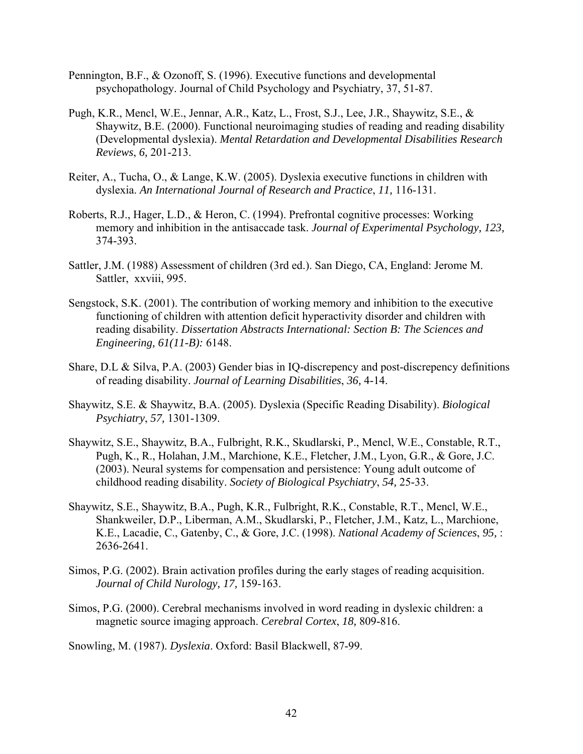- Pennington, B.F., & Ozonoff, S. (1996). Executive functions and developmental psychopathology. Journal of Child Psychology and Psychiatry, 37, 51-87.
- Pugh, K.R., Mencl, W.E., Jennar, A.R., Katz, L., Frost, S.J., Lee, J.R., Shaywitz, S.E., & Shaywitz, B.E. (2000). Functional neuroimaging studies of reading and reading disability (Developmental dyslexia). *Mental Retardation and Developmental Disabilities Research Reviews*, *6,* 201-213.
- Reiter, A., Tucha, O., & Lange, K.W. (2005). Dyslexia [executive functions in children with](http://web.ebscohost.com.lp.hscl.ufl.edu/ehost/viewarticle?data=dGJyMPPp44rp2%2fdV0%2bnjisfk5Ie46bZRtq2xTa%2bk63nn5Kx95uXxjL6orUqwpbBIrq2eUbioslKvr55oy5zyit%2fk8Xnh6ueH7N%2fiVauosEm2pq9Rt6ykhN%2fk5VXj5KR84LPui%2ffepIzf3btZzJzfhruorkizo65Nt6uvRa6msT7k5fCF3%2bq7fvPi6mzj7vIA&hid=105)  [dyslexia.](http://web.ebscohost.com.lp.hscl.ufl.edu/ehost/viewarticle?data=dGJyMPPp44rp2%2fdV0%2bnjisfk5Ie46bZRtq2xTa%2bk63nn5Kx95uXxjL6orUqwpbBIrq2eUbioslKvr55oy5zyit%2fk8Xnh6ueH7N%2fiVauosEm2pq9Rt6ykhN%2fk5VXj5KR84LPui%2ffepIzf3btZzJzfhruorkizo65Nt6uvRa6msT7k5fCF3%2bq7fvPi6mzj7vIA&hid=105) *An International Journal of Research and Practice*, *11,* 116-131.
- Roberts, R.J., Hager, L.D., & Heron, C. (1994). [Prefrontal cognitive processes: Working](http://web.ebscohost.com.lp.hscl.ufl.edu/ehost/viewarticle?data=dGJyMPPp44rp2%2fdV0%2bnjisfk5Ie46bZRtq2xTa%2bk63nn5Kx95uXxjL6orUqwpbBIrq2eUbioslKvr55oy5zyit%2fk8Xnh6ueH7N%2fiVauosEm2pq9Rt6ykhN%2fk5VXj5KR84LPui%2ffepIzf3btZzJzfhrunt1Gzo65QsK2zRa6mrz7k5fCF3%2bq7fvPi6mzj7vIA&hid=105)  [memory and inhibition in the antisaccade task.](http://web.ebscohost.com.lp.hscl.ufl.edu/ehost/viewarticle?data=dGJyMPPp44rp2%2fdV0%2bnjisfk5Ie46bZRtq2xTa%2bk63nn5Kx95uXxjL6orUqwpbBIrq2eUbioslKvr55oy5zyit%2fk8Xnh6ueH7N%2fiVauosEm2pq9Rt6ykhN%2fk5VXj5KR84LPui%2ffepIzf3btZzJzfhrunt1Gzo65QsK2zRa6mrz7k5fCF3%2bq7fvPi6mzj7vIA&hid=105) *Journal of Experimental Psychology, 123,*  374-393.
- Sattler, J.M. (1988) [Assessment of children \(3rd ed.\).](http://web.ebscohost.com.lp.hscl.ufl.edu/ehost/viewarticle?data=dGJyMPPp44rp2%2fdV0%2bnjisfk5Ie46bZRtq2xTa%2bk63nn5Kx95uXxjL6orUqwpbBIrq2eUbioslKvr55oy5zyit%2fk8Xnh6ueH7N%2fiVauosEm2pq9Rt6ykhN%2fk5VXj5KR84LPui%2ffepIzf3btZzJzfhrunt1C1o7dQtqm1Ra6mrj7k5fCF3%2bq7fvPi6mzj7vIA&hid=105) San Diego, CA, England: Jerome M. Sattler, xxviii, 995.
- Sengstock, S.K. (2001). [The contribution of working memory and inhibition to the executive](http://web.ebscohost.com.lp.hscl.ufl.edu/ehost/viewarticle?data=dGJyMPPp44rp2%2fdV0%2bnjisfk5Ie46bZRtq2xTa%2bk63nn5Kx95uXxjL6orUqwpbBIrq2eUbioslKvr55oy5zyit%2fk8Xnh6ueH7N%2fiVauosEm2pq9Rt6ykhN%2fk5VXj5KR84LPui%2ffepIzf3btZzJzfhruorkivo7dNrqeuRa%2brrj7k5fCF3%2bq7fvPi6mzj7vIA&hid=105)  [functioning of children with attention deficit hyperactivity disorder and children with](http://web.ebscohost.com.lp.hscl.ufl.edu/ehost/viewarticle?data=dGJyMPPp44rp2%2fdV0%2bnjisfk5Ie46bZRtq2xTa%2bk63nn5Kx95uXxjL6orUqwpbBIrq2eUbioslKvr55oy5zyit%2fk8Xnh6ueH7N%2fiVauosEm2pq9Rt6ykhN%2fk5VXj5KR84LPui%2ffepIzf3btZzJzfhruorkivo7dNrqeuRa%2brrj7k5fCF3%2bq7fvPi6mzj7vIA&hid=105)  [reading disability.](http://web.ebscohost.com.lp.hscl.ufl.edu/ehost/viewarticle?data=dGJyMPPp44rp2%2fdV0%2bnjisfk5Ie46bZRtq2xTa%2bk63nn5Kx95uXxjL6orUqwpbBIrq2eUbioslKvr55oy5zyit%2fk8Xnh6ueH7N%2fiVauosEm2pq9Rt6ykhN%2fk5VXj5KR84LPui%2ffepIzf3btZzJzfhruorkivo7dNrqeuRa%2brrj7k5fCF3%2bq7fvPi6mzj7vIA&hid=105) *Dissertation Abstracts International: Section B: The Sciences and Engineering, 61(11-B):* 6148.
- Share, D.L & Silva, P.A. (2003) Gender bias in IQ-discrepency and post-discrepency definitions of reading disability. *Journal of Learning Disabilities*, *36,* 4-14.
- Shaywitz, S.E. & Shaywitz, B.A. (2005). Dyslexia (Specific Reading Disability). *Biological Psychiatry*, *57,* 1301-1309.
- Shaywitz, S.E., Shaywitz, B.A., Fulbright, R.K., Skudlarski, P., Mencl, W.E., Constable, R.T., Pugh, K., R., Holahan, J.M., Marchione, K.E., Fletcher, J.M., Lyon, G.R., & Gore, J.C. (2003). Neural systems for compensation and persistence: Young adult outcome of childhood reading disability. *Society of Biological Psychiatry*, *54,* 25-33.
- Shaywitz, S.E., Shaywitz, B.A., Pugh, K.R., Fulbright, R.K., Constable, R.T., Mencl, W.E., Shankweiler, D.P., Liberman, A.M., Skudlarski, P., Fletcher, J.M., Katz, L., Marchione, K.E., Lacadie, C., Gatenby, C., & Gore, J.C. (1998). *National Academy of Sciences*, *95,* : 2636-2641.
- Simos, P.G. (2002). Brain activation profiles during the early stages of reading acquisition. *Journal of Child Nurology, 17,* 159-163.
- Simos, P.G. (2000). Cerebral mechanisms involved in word reading in dyslexic children: a magnetic source imaging approach. *Cerebral Cortex*, *18,* 809-816.

Snowling, M. (1987). *Dyslexia*. Oxford: Basil Blackwell, 87-99.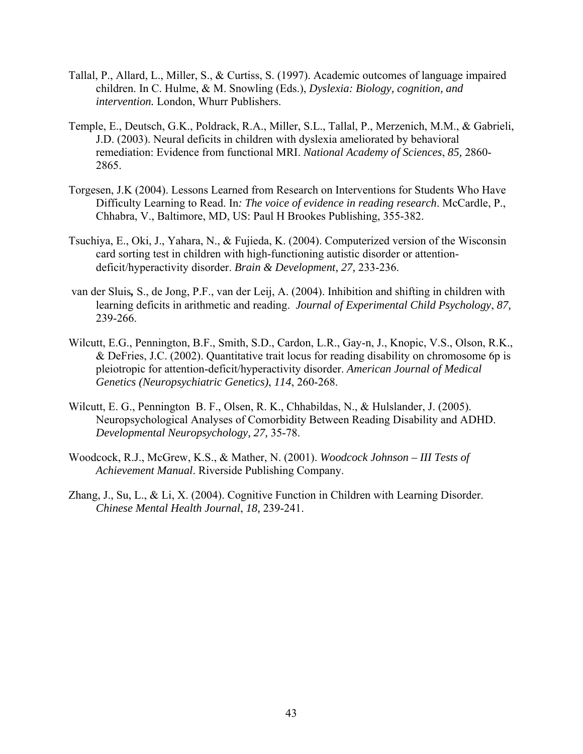- Tallal, P., Allard, L., Miller, S., & Curtiss, S. (1997). Academic outcomes of language impaired children. In C. Hulme, & M. Snowling (Eds.), *Dyslexia: Biology, cognition, and intervention.* London, Whurr Publishers.
- Temple, E., Deutsch, G.K., Poldrack, R.A., Miller, S.L., Tallal, P., Merzenich, M.M., & Gabrieli, J.D. (2003). Neural deficits in children with dyslexia ameliorated by behavioral remediation: Evidence from functional MRI. *National Academy of Sciences*, *85,* 2860- 2865.
- Torgesen, J.K (2004). [Lessons Learned from Research on Interventions for Students Who Have](http://web.ebscohost.com.lp.hscl.ufl.edu/ehost/viewarticle?data=dGJyMPPp44rp2%2fdV0%2bnjisfk5Ie46bZRtq2xTa%2bk63nn5Kx95uXxjL6orUqwpbBIrq2eUbioslKvr55oy5zyit%2fk8Xnh6ueH7N%2fiVauosEm2pq9Rt6ykhN%2fk5VXj5KR84LPui%2ffepIzf3btZzJzfhruorkizo65Ot621Ra6nsz7k5fCF3%2bq7fvPi6mzj7vIA&hid=105)  [Difficulty Learning to Read.](http://web.ebscohost.com.lp.hscl.ufl.edu/ehost/viewarticle?data=dGJyMPPp44rp2%2fdV0%2bnjisfk5Ie46bZRtq2xTa%2bk63nn5Kx95uXxjL6orUqwpbBIrq2eUbioslKvr55oy5zyit%2fk8Xnh6ueH7N%2fiVauosEm2pq9Rt6ykhN%2fk5VXj5KR84LPui%2ffepIzf3btZzJzfhruorkizo65Ot621Ra6nsz7k5fCF3%2bq7fvPi6mzj7vIA&hid=105) In*: The voice of evidence in reading research*. McCardle, P., Chhabra, V., Baltimore, MD, US: Paul H Brookes Publishing, 355-382.
- Tsuchiya, E., Oki, J., Yahara, N., & Fujieda, K. (2004). Computerized version of the Wisconsin card sorting test in children with high-functioning autistic disorder or attentiondeficit/hyperactivity disorder. *Brain & Development, 27,* 233-236.
- van der Sluis*,* S., de Jong, P.F., van der Leij, A. (2004). [Inhibition and shifting in children with](http://web.ebscohost.com.lp.hscl.ufl.edu/ehost/viewarticle?data=dGJyMPPp44rp2%2fdV0%2bnjisfk5Ie46bZRtq2xTa%2bk63nn5Kx95uXxjL6orUqwpbBIrq2eUbioslKvr55oy5zyit%2fk8Xnh6ueH7N%2fiVauosEm2pq9Rt6ykhN%2fk5VXj5KR84LPui%2ffepIzf3btZzJzfhruorkiyo7BJtK63Ra6msj7k5fCF3%2bq7fvPi6mzj7vIA&hid=105)  [learning deficits in arithmetic and reading.](http://web.ebscohost.com.lp.hscl.ufl.edu/ehost/viewarticle?data=dGJyMPPp44rp2%2fdV0%2bnjisfk5Ie46bZRtq2xTa%2bk63nn5Kx95uXxjL6orUqwpbBIrq2eUbioslKvr55oy5zyit%2fk8Xnh6ueH7N%2fiVauosEm2pq9Rt6ykhN%2fk5VXj5KR84LPui%2ffepIzf3btZzJzfhruorkiyo7BJtK63Ra6msj7k5fCF3%2bq7fvPi6mzj7vIA&hid=105) *Journal of Experimental Child Psychology*, *87,*  239-266.
- Wilcutt, E.G., Pennington, B.F., Smith, S.D., Cardon, L.R., Gay-n, J., Knopic, V.S., Olson, R.K., & DeFries, J.C. (2002). Quantitative trait locus for reading disability on chromosome 6p is pleiotropic for attention-deficit/hyperactivity disorder. *American Journal of Medical Genetics (Neuropsychiatric Genetics)*, *114*, 260-268.
- Wilcutt, E. G., Pennington B. F., Olsen, R. K., Chhabildas, N., & Hulslander, J. (2005). Neuropsychological Analyses of Comorbidity Between Reading Disability and ADHD. *Developmental Neuropsychology, 27,* 35-78.
- Woodcock, R.J., McGrew, K.S., & Mather, N. (2001). *Woodcock Johnson III Tests of Achievement Manual*. Riverside Publishing Company.
- Zhang, J., Su, L., & Li, X. (2004). [Cognitive Function in Children with Learning Disorder.](http://web.ebscohost.com.lp.hscl.ufl.edu/ehost/viewarticle?data=dGJyMPPp44rp2%2fdV0%2bnjisfk5Ie46bZRtq2xTa%2bk63nn5Kx95uXxjL6orUqwpbBIrq2eUbioslKvr55oy5zyit%2fk8Xnh6ueH7N%2fiVauosEm2pq9Rt6ykhN%2fk5VXj5KR84LPui%2ffepIzf3btZzJzfhruorkiyo69Lta%2b3Ra6mtj7k5fCF3%2bq7fvPi6mzj7vIA&hid=105)  *Chinese Mental Health Journal*, *18,* 239-241.